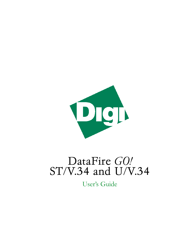

# DataFire GO! ST/V.34 and U/V.34

User's Guide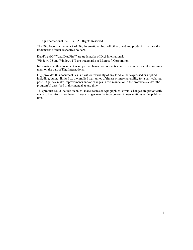© Digi International Inc. 1997. All Rights Reserved

The Digi logo is a trademark of Digi International Inc. All other brand and product names are the trademarks of their respective holders.

DataFire GO!<sup>™</sup> and DataFire<sup>™</sup> are trademarks of Digi International. Windows 95 and Windows NT are trademarks of Microsoft Corporation.

Information in this document is subject to change without notice and does not represent a commitment on the part of Digi International.

Digi provides this document "as is," without warranty of any kind, either expressed or implied, including, but not limited to, the implied warranties of fitness or merchantability for a particular purpose. Digi may make improvements and/or changes in this manual or in the product(s) and/or the  $program(s)$  described in this manual at any time.

This product could include technical inaccuracies or typographical errors. Changes are periodically made to the information herein; these changes may be incorporated in new editions of the publication.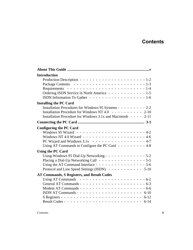# **Contents**

| <b>Introduction</b>                                                                                                                                                                                              |
|------------------------------------------------------------------------------------------------------------------------------------------------------------------------------------------------------------------|
|                                                                                                                                                                                                                  |
| Ordering ISDN Service in North America - - - - - - - - - - - - 1-5                                                                                                                                               |
| <b>Installing the PC Card</b>                                                                                                                                                                                    |
| Installation Procedures for Windows 95 Systems - - - - - - - - - 2-2<br>Installation Procedure for Windows NT 4.0 - - - - - - - - - - 2-10<br>Installation Procedure for Windows 3.1x and Macintosh - - - - 2-11 |
|                                                                                                                                                                                                                  |
| <b>Configuring the PC Card</b><br>Using AT Commands to Configure the PC Card - - - - - - - - - 4-8                                                                                                               |
| <b>Using the PC Card</b>                                                                                                                                                                                         |
| Using Windows 95 Dial-Up Networking - - - - - - - - - - - - - 5-2<br>Using the AT Command Interface - - - - - - - - - - - - - - - - 5-6<br>Protocol and Line Speed Settings (ISDN) - - - - - - - - - - - 5-10    |
| <b>AT Commands, S Registers, and Result Codes</b>                                                                                                                                                                |
|                                                                                                                                                                                                                  |
|                                                                                                                                                                                                                  |

 $Contents$  and  $R$  and  $R$  and  $R$  and  $R$  and  $R$  and  $R$  and  $R$  and  $R$  and  $R$  and  $R$  and  $R$  and  $R$  and  $R$  and  $R$  and  $R$  and  $R$  and  $R$  and  $R$  and  $R$  and  $R$  and  $R$  and  $R$  and  $R$  and  $R$  and  $R$  and  $R$  and  $R$  a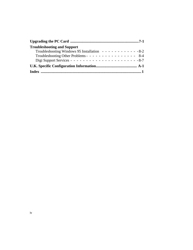| <b>Troubleshooting and Support</b>                                 |
|--------------------------------------------------------------------|
|                                                                    |
| Troubleshooting Other Problems - - - - - - - - - - - - - - - - 8-4 |
|                                                                    |
|                                                                    |
|                                                                    |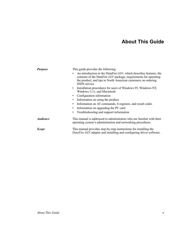# **About This Guide**

| <b>Purpose</b>         | This guide provides the following:                                                                                                                                                                                                  |  |  |  |
|------------------------|-------------------------------------------------------------------------------------------------------------------------------------------------------------------------------------------------------------------------------------|--|--|--|
|                        | An introduction to the DataFire GO!, which describes features, the<br>٠<br>contents of the DataFire GO! package, requirements for operating<br>the product, and tips to North American customers on ordering<br><b>ISDN</b> service |  |  |  |
|                        | Installation procedures for users of Windows 95, Windows NT,<br>$\bullet$<br>Windows $3.1x$ , and Macintosh                                                                                                                         |  |  |  |
|                        | Configuration information                                                                                                                                                                                                           |  |  |  |
|                        | Information on using the product<br>٠                                                                                                                                                                                               |  |  |  |
|                        | Information on AT commands, S registers, and result codes<br>٠                                                                                                                                                                      |  |  |  |
|                        | Information on upgrading the PC card<br>٠                                                                                                                                                                                           |  |  |  |
|                        | Troubleshooting and support information                                                                                                                                                                                             |  |  |  |
| <i><b>Audience</b></i> | This manual is addressed to administrators who are familiar with their<br>operating system's administration and networking procedures.                                                                                              |  |  |  |
| <b>Scope</b>           | This manual provides step-by-step instructions for installing the<br>DataFire GO! adapter and installing and configuring driver software.                                                                                           |  |  |  |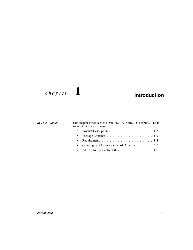# $chapter$  1

# **Introduction**

This chapter introduces the DataFire GO! Series PC adapters. The following topics are discussed:

| • Ordering ISDN Service in North America. 1-5 |
|-----------------------------------------------|
|                                               |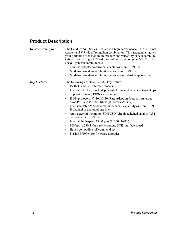# **Product Description**

| <b>General Description</b> | The DataFire GO! Series PC Card is a high performance ISDN terminal<br>adapter and V.34 data/fax modem combination. This arrangement gives<br>your portable office maximum freedom and versatility in data communi-<br>cation. From a single PC card inserted into your computer's PCMCIA<br>socket, you can communicate<br>Terminal adapter-to-terminal adapter over an ISDN line<br>Modem-to-modem and fax-to-fax over an ISDN line<br>٠<br>Modem-to-modem and fax-to-fax over a standard telephone line<br>٠                                                                                                                                                                                                                                                                                                            |
|----------------------------|----------------------------------------------------------------------------------------------------------------------------------------------------------------------------------------------------------------------------------------------------------------------------------------------------------------------------------------------------------------------------------------------------------------------------------------------------------------------------------------------------------------------------------------------------------------------------------------------------------------------------------------------------------------------------------------------------------------------------------------------------------------------------------------------------------------------------|
| <b>Key Features</b>        | The following are DataFire GO! key features:<br>ISDN U and S/T interface models<br>$\bullet$<br>Integral ISDN terminal adapter with B channel data rates to 64 Kbps.<br>$\bullet$<br>Support for many ISDN switch types<br>٠<br>ISDN protocols: V.110, V.120, Rate Adaption Protocol, Async-to-<br>$\bullet$<br>Sync PPP, and PPP Multilink (Windows 95 only)<br>User selectable V.34 data/fax modem call capability over an ISDN<br>$\bullet$<br>B-channel or analog phone line<br>Auto detect of incoming ISDN CSD (circuit switched data) or V.34<br>$\bullet$<br>calls over the ISDN line<br>Integral, high-speed COM port (16550 UART)<br>٠<br>300 bps to 230.4 kbps asynchronous DTE interface speed<br>$\bullet$<br>Hayes-compatible AT command set<br>$\bullet$<br>Flash EEPROM for firmware upgrades<br>$\bullet$ |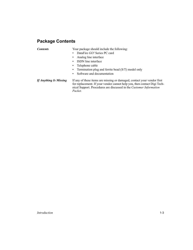# **Package Contents**

#### **Contents**

Your package should include the following:

- DataFire GO! Series PC card  $\bullet$  .
- Analog line interface
- ISDN line interface
- Telephone cable  $\bullet$
- Termination plug and ferrite bead (S/T) model only  $\bullet$
- Software and documentation  $\bullet$

### **If Anything Is Missing**

If any of these items are missing or damaged, contact your vendor first for replacement. If your vendor cannot help you, then contact Digi Technical Support. Procedures are discussed in the Customer Information Packet.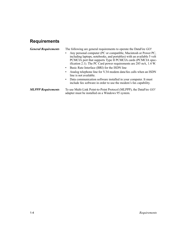# **Requirements**

| <b>General Requirements</b> | The following are general requirements to operate the DataFire GO!                                                                                                                                                                                                                         |  |  |  |
|-----------------------------|--------------------------------------------------------------------------------------------------------------------------------------------------------------------------------------------------------------------------------------------------------------------------------------------|--|--|--|
|                             | Any personal computer (PC or compatible, Macintosh or Power PC,<br>$\bullet$<br>including laptops, notebooks, and portables) with an available 5 volt<br>PCMCIA port that supports Type II PCMCIA cards (PCMCIA spec-<br>ification 2.1). The PC Card power requirements are 285 mA, 1.4 W. |  |  |  |
|                             | Basic Rate Interface (BRI) for the ISDN line<br>$\bullet$                                                                                                                                                                                                                                  |  |  |  |
|                             | Analog telephone line for V.34 modem data/fax calls when an ISDN<br>٠<br>line is not available.                                                                                                                                                                                            |  |  |  |
|                             | Data communication software installed in your computer. It must<br>$\bullet$<br>include fax software in order to use the modem's fax capability.                                                                                                                                           |  |  |  |
| <b>MLPPP</b> Requirements   | To use Multi-Link Point-to-Point Protocol (MLPPP), the DataFire GO!<br>adapter must be installed on a Windows 95 system.                                                                                                                                                                   |  |  |  |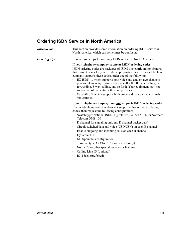# **Ordering ISDN Service in North America**

**Introduction** This section provides some information on ordering ISDN service in North America, which can sometimes be confusing. **Ordering Tips** Here are some tips for ordering ISDN service in North America: If your telephone company supports ISDN ordering codes ISDN ordering codes are packages of ISDN line configuration features that make it easier for you to order appropriate service. If your telephone company supports these codes, order one of the following: EZ-ISDN-1, which supports both voice and data on two channels, plus supplementary features such as caller ID, flexible calling, call forwarding, 3-way-calling, and so forth. Your equipment may not support all of the features this line provides. Capability S, which supports both voice and data on two channels,  $\bullet$ and caller ID If your telephone company does not supports ISDN ordering codes If your telephone company does not support either of these ordering codes, then request the following configuration: Switch type: National ISDN-1 (preferred), AT&T 5ESS, or Northern  $\bullet$ Telecom DMS 100 D channel for signaling only (no D channel packet data) Circuit switched data and voice (CSD/CSV) on each B channel  $\bullet$ Enable outgoing and incoming calls on each B channel Dynamic TEI Multipoint bus configuration  $\bullet$ Terminal type A (AT&T Custom switch only) No EKTS or other special services or features Calling Line ID (optional)

• RJ11 jack (preferred)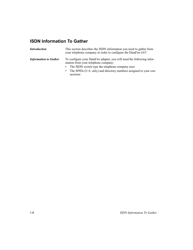# **ISDN Information To Gather**

| <i>Introduction</i>          | This section describes the ISDN information you need to gather from<br>your telephone company in order to configure the DataFire GO!. |
|------------------------------|---------------------------------------------------------------------------------------------------------------------------------------|
| <b>Information to Gather</b> | To configure your DataFire adapter, you will need the following infor-<br>mation from your telephone company:                         |
|                              | • The ISDN switch type the telephone company uses                                                                                     |
|                              | $\bullet$ The SPID <sub>s</sub> (II S, only) and directory numbers assigned to your con-                                              |

The SPIDs (U.S. only) and directory numbers assigned to your connections

ISDN Information To Gather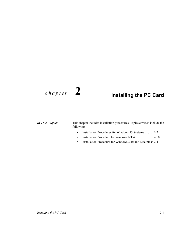# $chapter$  2

# **Installing the PC Card**

### **In This Chapter**

This chapter includes installation procedures. Topics covered include the following:

- Installation Procedures for Windows 95 Systems ......2-2  $\bullet$
- Installation Procedure for Windows NT 4.0 . . . . . . . . . . . 2-10  $\bullet$
- Installation Procedure for Windows 3.1x and Macintosh 2-11  $\bullet$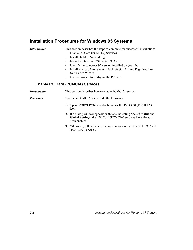## **Installation Procedures for Windows 95 Systems**

**Introduction** 

This section describes the steps to complete for successful installation:

- Enable PC Card (PCMCIA) Services
- Install Dial-Up Networking
- Insert the DataFire GO! Series PC Card
- Identify the Windows 95 version installed on your PC
- Install Microsoft Accelerator Pack Version 1.1 and Digi DataFire GO! Series Wizard
- Use the Wizard to configure the PC card.

### **Enable PC Card (PCMCIA) Services**

**Introduction** This section describes how to enable PCMCIA services. **Procedure** To enable PCMCIA services do the following: 1. Open Control Panel and double-click the PC Card (PCMCIA) icon. 2. If a dialog window appears with tabs indicating Socket Status and Global Settings, then PC Card (PCMCIA) services have already been enabled.

3. Otherwise, follow the instructions on your screen to enable PC Card (PCMCIA) services.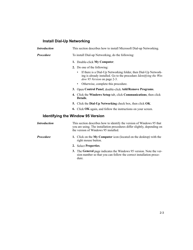# **Install Dial-Up Networking**

| <b>Introduction</b> | This section describes how to install Microsoft Dial-up Networking.                                                                                                                       |  |  |
|---------------------|-------------------------------------------------------------------------------------------------------------------------------------------------------------------------------------------|--|--|
| <b>Procedure</b>    | To install Dial-up Networking, do the following:                                                                                                                                          |  |  |
|                     | 1. Double-click My Computer.                                                                                                                                                              |  |  |
|                     | 2. Do one of the following:                                                                                                                                                               |  |  |
|                     | If there is a Dial-Up Networking folder, then Dial-Up Network-<br>$\bullet$<br>ing is already installed. Go to the procedure Identifying the Win-<br>dow 95 Version on page 2-3.          |  |  |
|                     | Otherwise, complete this procedure.<br>$\bullet$                                                                                                                                          |  |  |
|                     | 3. Open Control Panel, double-click Add/Remove Programs.                                                                                                                                  |  |  |
|                     | 4. Click the Windows Setup tab, click Communications, then click<br>Details.                                                                                                              |  |  |
|                     | 5. Click the Dial-Up Networking check box, then click OK.                                                                                                                                 |  |  |
|                     | 6. Click OK again, and follow the instructions on your screen.                                                                                                                            |  |  |
|                     | <b>Identifying the Window 95 Version</b>                                                                                                                                                  |  |  |
| <b>Introduction</b> | This section describes how to identify the version of Windows 95 that<br>you are using. The installation procedures differ slightly, depending on<br>the version of Windows 95 installed. |  |  |
| <b>Procedure</b>    | 1. Click on the My Computer icon (located on the desktop) with the<br>right mouse button.                                                                                                 |  |  |
|                     | 2. Select Properties.                                                                                                                                                                     |  |  |
|                     | 3. The General page indicates the Windows 95 version. Note the ver-<br>sion number so that you can follow the correct installation proce-<br>dure.                                        |  |  |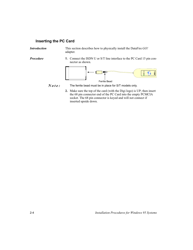### **Inserting the PC Card**

**Introduction** 

This section describes how to physically install the DataFire GO! adapter.

Procedure

1. Connect the ISDN U or S/T line interface to the PC Card 15 pin connector as shown.



 $Note:$ The ferrite bead must be in place for S/T models only.

2. Make sure the top of the card (with the Digi logo) is UP; then insert the 68 pin connector end of the PC Card into the empty PCMCIA socket. The 68 pin connector is keyed and will not connect if inserted upside down.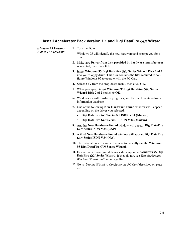### Install Accelerator Pack Version 1.1 and Digi DataFire GO! Wizard

**Windows 95 Versions** 4.00.950 or 4.00.950A 1. Turn the PC on.

Windows 95 will identify the new hardware and prompt you for a disk.

- 2. Make sure Driver from disk provided by hardware manufacturer is selected, then click OK.
- 3. Insert Windows 95 Digi DataFire GO! Series Wizard Disk 1 of 2 into your floppy drive. This disk contains the files required to configure Windows 95 to operate with the PC Card.
- 4. Select  $\mathbf{a}$ :  $\setminus$  from the drop-down menu, then click OK.
- 5. When prompted, insert Windows 95 Digi DataFire GO! Series Wizard Disk 2 of 2 and click OK.
- 6. Windows 95 will finish copying files, and then will create a driver information database.
- 7. One of the following New Hardware Found windows will appear, depending on the driver you selected:
	- · Digi DataFire GO! Series ST ISDN V.34 (Modem)
	- Digi DataFire GO! Series U ISDN V.34 (Modem)
- 8. Another New Hardware Found window will appear: Digi DataFire GO! Series ISDN V.34 (CXP).
- 9. A third New Hardware Found window will appear: Digi DataFire GO! Series ISDN V.34 (Net).
- 10. The installation software will now automatically run the Windows 95 Digi DataFire GO! Series Wizard.
- 11. Ensure that all configured devices show up in the Windows 95 Digi DataFire GO! Series Wizard. If they do not, see Troubleshooting Windows 95 Installation on page 8-2.
- 12. Go to Use the Wizard to Configure the PC Card described on page  $2 - 8$ .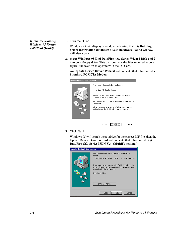**If You Are Running Windows 95 Version** 4.00.950B (OSR2)

1. Turn the PC on.

Windows 95 will display a window indicating that it is Building driver information database; a New Hardware Found window will also appear.

2. Insert Windows 95 Digi DataFire GO! Series Wizard Disk 1 of 2 into your floppy drive. This disk contains the files required to configure Windows 95 to operate with the PC Card.

An Update Device Driver Wizard will indicate that it has found a **Standard PCMCIA Modem.** 

| <b>Update Device Driver Wizard</b> |                                                                                                             |  |  |
|------------------------------------|-------------------------------------------------------------------------------------------------------------|--|--|
|                                    | This wizard will complete the installation of:                                                              |  |  |
|                                    | Standard PCMCIA Card Modem                                                                                  |  |  |
|                                    | by searching your local drives, network, and Internet<br>locations for the most current driver.             |  |  |
|                                    | If you have a disk or CD-ROM that came with this device,<br>insert it now.                                  |  |  |
|                                    | It is recommended that you let Windows search for an<br>updated driver. To do this, click Next to continue. |  |  |
|                                    |                                                                                                             |  |  |
|                                    |                                                                                                             |  |  |
|                                    | Nest<br>Cancel<br>< Back                                                                                    |  |  |

3. Click Next.

Windows 95 will search the a:\ drive for the correct INF file, then the Update Device Driver Wizard will indicate that it has found Digi DataFire GO! Series ISDN V.34 (MultiFunctional).

| <b>Update Device Driver Wizard</b> |                                                                                                                                                                                                                                                                                                                        |  |  |
|------------------------------------|------------------------------------------------------------------------------------------------------------------------------------------------------------------------------------------------------------------------------------------------------------------------------------------------------------------------|--|--|
|                                    | Windows found the following updated driver for this<br>device:<br>Digi DataFire GO! Series U ISDN V.34 (MultiFunctional)<br>If you want to use this driver, click Finish. If this is not the<br>correct driver and you want to search for a different driver<br>manually, click Other Locations.<br>Location of Driver |  |  |
|                                    | Other Locations                                                                                                                                                                                                                                                                                                        |  |  |
|                                    | Cancel<br>< Back                                                                                                                                                                                                                                                                                                       |  |  |

Installation Procedures for Windows 95 Systems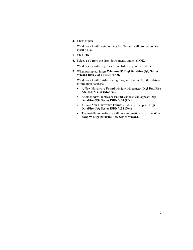4. Click Finish.

Windows 95 will begin looking for files and will prompt you to insert a disk.

- 5. Click OK.
- 6. Select  $\mathbf{a}$ :  $\setminus$  from the drop-down menu, and click OK.

Windows 95 will copy files from Disk 1 to your hard drive.

7. When prompted, insert Windows 95 Digi DataFire GO! Series Wizard Disk 2 of 2 and click OK.

Windows 95 will finish copying files, and then will build a driver information database.

- A New Hardware Found window will appear: Digi DataFire GO! ISDN V.34 (Modem).
- $\bullet$ Another New Hardware Found window will appear: Digi DataFire GO! Series ISDN V.34 (CXP).
- $\bullet$ A third New Hardware Found window will appear: Digi DataFire GO! Series ISDN V.34 (Net).
- The installation software will now automatically run the Win- $\bullet$ dows 95 Digi DataFire GO! Series Wizard.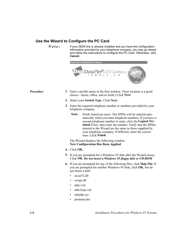### Use the Wizard to Configure the PC Card

 $Note:$ 

If your ISDN line is already installed and you have the configuration information provided by your telephone company, you may go ahead and follow the instructions to configure the PC Card. Otherwise, click Cancel.



- 1. Enter a profile name in the first window. (Your location is a good choice—home, office, and so forth.) Click Next.
- 2. Select your Switch Type. Click Next.
- 3. Enter the required telephone number or numbers provided by your telephone company.
	- North American users: The SPIDs will be entered auto-Note: matically when you enter telephone numbers. If you have a second telephone number to enter, click the Logical Terminal 2 box, then enter the number. Verify that the SPIDs entered in the Wizard are the same as those supplied by your telephone company. If different, enter the correct ones. Click Finish.

The Wizard displays the following window: **New Configuration Has Been Applied** 

- 4. Click OK.
- 5. If you are prompted for a Windows 95 disk after the Wizard closes, Click OK. Do not insert a Windows 95 floppy disk or CD-ROM.
- 6. If you are prompted for any of the following files, click Skip File. If you are prompted for another Windows 95 disk, click OK, but do not insert a disk:
	- secur32.dll  $\bullet$
	- svrapi.dll
	- ndis.vxd
	- ndis2sup.vxd
	- ndishlp.sys
	- protman.dos

#### **Procedure**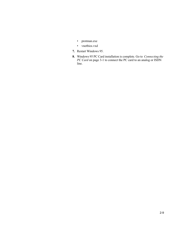- protman.exe
- vnetbios.vxd
- 7. Restart Windows 95.
- 8. Windows 95 PC Card installation is complete. Go to *Connecting the PC Card* on page 3-1 to connect the PC card to an analog or ISDN line.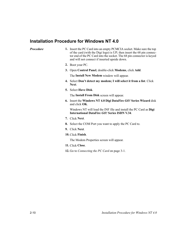## **Installation Procedure for Windows NT 4.0**

**Procedure** 

- 1. Insert the PC Card into an empty PCMCIA socket. Make sure the top of the card (with the Digi logo) is UP; then insert the 68 pin connector end of the PC Card into the socket. The 68 pin connector is keyed and will not connect if inserted upside down.
- 2. Boot your PC.
- 3. Open Control Panel, double-click Modems, click Add.

The Install New Modem window will appear.

- 4. Select Don't detect my modem; I will select it from a list. Click **Next**
- 5. Select Have Disk.

The Install From Disk screen will appear.

6. Insert the Windows NT 4.0 Digi DataFire GO! Series Wizard disk and click OK.

Windows NT will load the INF file and install the PC Card as Digi International DataFire GO! Series ISDN V.34.

- 7. Click Next.
- 8. Select the COM Port you want to apply the PC Card to.
- 9. Click Next.
- 10. Click Finish.

The Modem Properties screen will appear.

- 11. Click Close.
- 12. Go to Connecting the PC Card on page 3-1.

Installation Procedure for Windows NT 4.0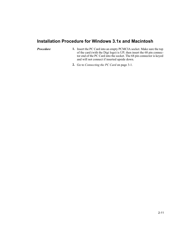# **Installation Procedure for Windows 3.1x and Macintosh**

Procedure

- 1. Insert the PC Card into an empty PCMCIA socket. Make sure the top of the card (with the Digi logo) is UP; then insert the 68 pin connector end of the PC Card into the socket. The 68 pin connector is keyed and will not connect if inserted upside down.
- 2. Go to Connecting the PC Card on page 3-1.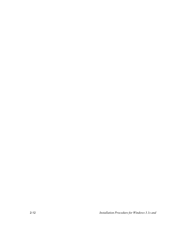Installation Procedure for Windows 3.1x and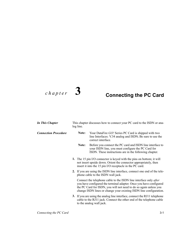# $chapter$  3

# **Connecting the PC Card**

| In This Chapter             | This chapter discusses how to connect your PC card to the ISDN or ana-<br>log line. |                                                                                                                                                                                                                                                                                           |  |
|-----------------------------|-------------------------------------------------------------------------------------|-------------------------------------------------------------------------------------------------------------------------------------------------------------------------------------------------------------------------------------------------------------------------------------------|--|
| <b>Connection Procedure</b> | Note:                                                                               | Your DataFire GO! Series PC Card is shipped with two<br>line Interfaces: V.34 analog and ISDN. Be sure to use the<br>correct interface.                                                                                                                                                   |  |
|                             | Note:                                                                               | Before you connect the PC card and ISDN line interface to<br>your ISDN line, you must configure the PC Card for<br>ISDN. These instructions are in the following chapter.                                                                                                                 |  |
|                             |                                                                                     | 1. The 15 pin I/O connector is keyed with the pins on bottom; it will<br>not insert upside down. Orient the connector appropriately, then<br>insert it into the 15 pin I/O receptacle in the PC card.                                                                                     |  |
|                             |                                                                                     | 2. If you are using the ISDN line interface, connect one end of the tele-<br>phone cable to the ISDN wall jack.                                                                                                                                                                           |  |
|                             |                                                                                     | Connect the telephone cable to the ISDN line interface only <i>after</i><br>you have configured the terminal adapter. Once you have configured<br>the PC Card for ISDN, you will not need to do so again unless you<br>change ISDN lines or change your existing ISDN line configuration. |  |
|                             |                                                                                     | 3. If you are using the analog line interface, connect the RJ11 telephone<br>cable to the RJ11 jack. Connect the other end of the telephone cable<br>to the analog wall jack.                                                                                                             |  |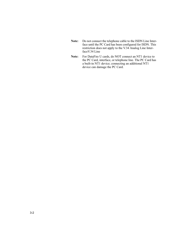- Note: Do not connect the telephone cable to the ISDN Line Interface until the PC Card has been configured for ISDN. This restriction does not apply to the V.34 Analog Line InterfaceV.34 Line
- For DataFire U cards, do NOT connect an NT1 device to Note: the PC Card, interface, or telephone line. The PC Card has a built-in NT1 device; connecting an additional NT1 device can damage the PC Card.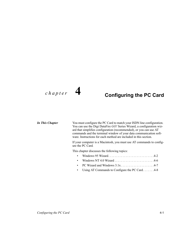# $chapter$  4

# **Configuring the PC Card**

#### **In This Chapter**

You must configure the PC Card to match your ISDN line configuration. You can use the Digi DataFire GO! Series Wizard, a configuration wizard that simplifies configuration (recommended), or you can use AT commands and the terminal window of your data communication software. Instructions for each method are included in this section.

If your computer is a Macintosh, you must use AT commands to configure the PC Card.

This chapter discusses the following topics:

- $\bullet$ Windows 95 Wizard................................4-2
- Windows NT 4.0 Wizard  $\dots \dots \dots \dots \dots \dots \dots \dots \dots 4-6$  $\bullet$
- PC Wizard and Windows 3.1x......................4-7  $\bullet$
- Using AT Commands to Configure the PC Card . . . . . . . 4-8  $\bullet$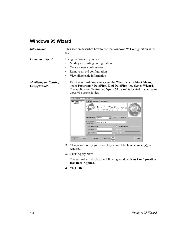## Windows 95 Wizard

**Introduction** This section describes how to use the Windows 95 Configuration Wizard.

Using the Wizard Using the Wizard, you can:

- Modify an existing configuration
- Create a new configuration
- Remove an old configuration
- View diagnostic information

Modifying an Existing Configuration

1. Run the Wizard. You can access the Wizard via the Start Menu, under Programs / DataFire / Digi DataFire GO! Series Wizard. The application file itself ( $cfgwiz32$ . exe) is located in your Windows 95 system folder.

| Digi DataFire GO!(tm) Series Wizard       |                                                          |                     |
|-------------------------------------------|----------------------------------------------------------|---------------------|
| DataFire GO! S/T<br>$ \frac{1}{2}$ Line 1 | Configure   Diagnostics   Product Info                   |                     |
|                                           | DIGI DataFire <sup>m</sup> GO/Series <sub>s7</sub>       |                     |
|                                           | I am dialing from: My Office<br>New                      | Remove              |
|                                           | <b>ISDN</b> Provider<br>Euro ISDN (ETSI)<br>Switch Type: |                     |
|                                           | Logical Terminal #1                                      | Logical Terminal #2 |
|                                           | Telephone:                                               | Telephone:          |
|                                           | Sub-Address:                                             | Sub-Address:        |
| <b>OK</b><br>Cancel                       | Line Status<br>Apply now<br><b>STOP</b>                  | Help                |

- 2. Change or modify your switch type and telephone number(s), as required.
- 3. Click Apply Now.

The Wizard will display the following window: New Configuration Has Been Applied.

4. Click OK.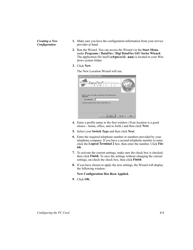**Creating a New** Configuration

- 1. Make sure you have the configuration information from your service provider at hand.
- 2. Run the Wizard. You can access the Wizard via the Start Menu, under Programs / DataFire / Digi DataFire GO! Series Wizard. The application file itself (cfgwiz32.exe) is located in your Windows system folder.
- 3. Click New.

The New Location Wizard will run.

| Digi DataFire GO![tm] Series Wizard                                                                     |
|---------------------------------------------------------------------------------------------------------|
| DIGI DataFire <sup>M</sup> GO/Series <sub>87</sub>                                                      |
| Enter the name of a profile associated with the location you are<br>dialing from.<br>I am dialing from: |
| Common examples: Home, Office, Seattle Office, etc                                                      |
| $N$ ext ><br>Cancel<br>Help<br>< Back                                                                   |

- 4. Enter a profile name in the first window (Your location is a good choice—home, office, and so forth.) and then click Next.
- 5. Select your Switch Type and then click Next.
- **6.** Enter the required telephone number or numbers provided by your telephone company. If you have a second telephone number to enter, click the Logical Terminal 2 box, then enter the number. Click Finish.
- 7. To activate the current settings, make sure the check box is checked, then click Finish. To save the settings without changing the current settings, un-check the check box, then click Finish.
- 8. If you have chosen to apply the new settings, the Wizard will display the following window:

**New Configuration Has Been Applied.** 

9. Click OK.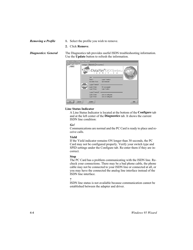- 1. Select the profile you wish to remove.
	- 2. Click Remove.

**Removing a Profile** 

The Diagnostics tab provides useful ISDN troubleshooting information. **Diagnostics: General** Use the Update button to refresh the information.



#### **Line Status Indicator**

A Line Status Indicator is located at the bottom of the Configure tab and at the left center of the **Diagnostics** tab. It shows the current ISDN line condition:

#### $Go!$

Communications are normal and the PC Card is ready to place and receive calls.

#### Yield

If the Yield indicator remains ON longer than 30 seconds, the PC Card may not be configured properly. Verify your switch type and SPID settings under the Configure tab. Re-enter them if they are incorrect.

#### **Stop**

The PC Card has a problem communicating with the ISDN line. Recheck your connections. There may be a bad phone cable, the phone cable may not be connected to your ISDN line or connected at all, or you may have the connected the analog line interface instead of the ISDN line interface.

#### $\overline{?}$

ISDN line status is not available because communication cannot be established between the adapter and driver.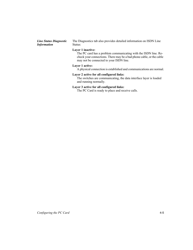Line Status Diagnostic **Information** 

The Diagnostics tab also provides detailed information on ISDN Line Status:

#### Layer 1 inactive:

The PC card has a problem communicating with the ISDN line. Recheck your connections. There may be a bad phone cable, or the cable may not be connected to your ISDN line.

#### Layer 1 active:

A physical connection is established and communications are normal.

#### Layer 2 active for all configured links:

The switches are communicating, the data interface layer is loaded and running normally.

### Layer 3 active for all configured links:

The PC Card is ready to place and receive calls.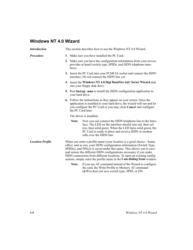# **Windows NT 4.0 Wizard**

| <b>Introduction</b>     | This section describes how to use the Windows NT 4.0 Wizard.                                                                                                                                                                                                                                                                                                                                                                                            |                                                                                                                                                                                                                                                                          |
|-------------------------|---------------------------------------------------------------------------------------------------------------------------------------------------------------------------------------------------------------------------------------------------------------------------------------------------------------------------------------------------------------------------------------------------------------------------------------------------------|--------------------------------------------------------------------------------------------------------------------------------------------------------------------------------------------------------------------------------------------------------------------------|
| <b>Procedure</b>        |                                                                                                                                                                                                                                                                                                                                                                                                                                                         | 1. Make sure you have installed the PC Card.                                                                                                                                                                                                                             |
|                         | bers).                                                                                                                                                                                                                                                                                                                                                                                                                                                  | 2. Make sure you have the configuration information from your service<br>provider at hand (switch type, SPIDs, and ISDN telephone num-                                                                                                                                   |
|                         |                                                                                                                                                                                                                                                                                                                                                                                                                                                         | 3. Insert the PC Card into your PCMCIA socket and connect the ISDN<br>interface. Do not connect the ISDN line yet.                                                                                                                                                       |
|                         | 4. Insert the Windows NT 4.0 Digi DataFire GO! Series Wizard disk<br>into your floppy disk drive.                                                                                                                                                                                                                                                                                                                                                       |                                                                                                                                                                                                                                                                          |
|                         | your hard drive.                                                                                                                                                                                                                                                                                                                                                                                                                                        | 5. Run Setup. exe to install the ISDN configuration application to                                                                                                                                                                                                       |
|                         |                                                                                                                                                                                                                                                                                                                                                                                                                                                         | <b>6.</b> Follow the instructions as they appear on your screen. Once the<br>application is installed to your hard drive, the wizard will run and let<br>you configure the PC Card or you may click Cancel and configure<br>the PC Card later.                           |
|                         |                                                                                                                                                                                                                                                                                                                                                                                                                                                         | The driver is installed.                                                                                                                                                                                                                                                 |
|                         | Note:                                                                                                                                                                                                                                                                                                                                                                                                                                                   | Now you can connect the ISDN telephone line to the Inter-<br>face. The LED on the interface should turn red, then yel-<br>low, then solid green. When the LED turns solid green, the<br>PC Card is ready to place and receive ISDN or modem<br>calls over the ISDN line. |
| <b>Location Profile</b> | When you enter a profile name (your location is a good choice—home,<br>office, and so on), your ISDN configuration information (Switch Type,<br>$SPID(s)$ , and $DN(s)$ ) is saved under this name. This allows you to save<br>and restore the different ISDN configurations necessary if you make<br>ISDN connections from different locations. To open an existing config-<br>uration, simply enter the profile name in the I am dialing from window. |                                                                                                                                                                                                                                                                          |
|                         | Note:                                                                                                                                                                                                                                                                                                                                                                                                                                                   | If you use AT command instead of the Wizard to configure<br>the card, the Write Profile to Memory AT command<br>(&Wn) does not save switch type, SPID, or DN.                                                                                                            |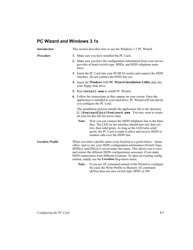# PC Wizard and Windows 3.1x

| <b>Introduction</b>     | This section describes how to use the Windows 3.1 PC Wizard.                                                                                                                                                                                                                                                                                                                                                                          |  |
|-------------------------|---------------------------------------------------------------------------------------------------------------------------------------------------------------------------------------------------------------------------------------------------------------------------------------------------------------------------------------------------------------------------------------------------------------------------------------|--|
| <b>Procedure</b>        | 1. Make sure you have installed the PC Card.                                                                                                                                                                                                                                                                                                                                                                                          |  |
|                         | 2. Make sure you have the configuration information from your service<br>provider at hand (switch type, SPIDs, and ISDN telephone num-<br>bers).                                                                                                                                                                                                                                                                                      |  |
|                         | 3. Insert the PC Card into your PCMCIA socket and connect the ISDN<br>interface. Do not connect the ISDN line yet.                                                                                                                                                                                                                                                                                                                    |  |
|                         | 4. Insert the Windows 3.1x PC Wizard Installation Utility disk into<br>your floppy disk drive.                                                                                                                                                                                                                                                                                                                                        |  |
|                         | 5. Run Install.exe to install PC Wizard.                                                                                                                                                                                                                                                                                                                                                                                              |  |
|                         | <b>6.</b> Follow the instructions as they appear on your screen. Once the<br>application is installed to your hard drive, PC Wizard will run and let<br>you configure the PC Card.                                                                                                                                                                                                                                                    |  |
|                         | The installation process installs the application file to the directory<br>C: \Pcwizard\bin\Pcwizard.exe You may want to create<br>an icon for this file for access later.                                                                                                                                                                                                                                                            |  |
|                         | Note:<br>Now you can connect the ISDN telephone line to the Inter-<br>face. The LED on the interface should turn red, then yel-<br>low, then solid green. As long as the LED turns solid<br>green, the PC Card is ready to place and receive ISDN or<br>modem calls over the ISDN line.                                                                                                                                               |  |
| <b>Location Profile</b> | When you enter a profile name (your location is a good choice—home,<br>office, and so on), your ISDN configuration information (Switch Type,<br>$SPID(s)$ , and $DN(s)$ is saved under this name. This allows you to save<br>and restore the different ISDN configurations necessary if you make<br>ISDN connections from different locations. To open an existing config-<br>uration, simply use the <b>Location</b> drop-down menu. |  |
|                         | If you use AT command instead of the Wizard to configure<br>Note:<br>the card, the Write Profile to Memory AT command<br>$(\&$ Wn) does not save switch type, SPID, or DN.                                                                                                                                                                                                                                                            |  |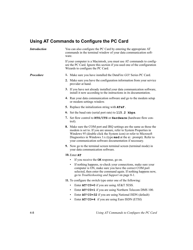# Using AT Commands to Configure the PC Card

| <b>Introduction</b> | You can also configure the PC Card by entering the appropriate AT<br>commands in the terminal window of your data communication soft-<br>ware.                                                                                                                                                                                                                |  |
|---------------------|---------------------------------------------------------------------------------------------------------------------------------------------------------------------------------------------------------------------------------------------------------------------------------------------------------------------------------------------------------------|--|
|                     | If your computer is a Macintosh, you must use AT commands to config-<br>ure the PC Card. Ignore this section if you used one of the configuration<br>Wizards to configure the PC Card.                                                                                                                                                                        |  |
| <b>Procedure</b>    | 1. Make sure you have installed the DataFire GO! Series PC Card.                                                                                                                                                                                                                                                                                              |  |
|                     | 2. Make sure you have the configuration information from your service<br>provider at hand.                                                                                                                                                                                                                                                                    |  |
|                     | 3. If you have not already installed your data communication software,<br>install it now according to the instructions in its documentation.                                                                                                                                                                                                                  |  |
|                     | 4. Run your data communication software and go to the modem setup<br>or modem settings window.                                                                                                                                                                                                                                                                |  |
|                     | 5. Replace the initialization string with AT&F.                                                                                                                                                                                                                                                                                                               |  |
|                     | 6. Set the baud rate (serial port rate) to 115.2 kbps.                                                                                                                                                                                                                                                                                                        |  |
|                     | 7. Set flow control to RTS/CTS or Hardware (hardware flow con-<br>trol).                                                                                                                                                                                                                                                                                      |  |
|                     | 8. Make sure the COM port and IRQ settings are the same as those the<br>modem is set to. If you are unsure, refer to System Properties in<br>Windows 95 (double click the System icon) or refer to Microsoft<br>Diagnostics in Windows 3.x (type $\text{msd}$ at the $\text{c}:$ prompt). Refer to<br>your communication software documentation if necessary. |  |
|                     | 9. Now go to the terminal screen terminal screen (terminal mode) in<br>your data communication software.                                                                                                                                                                                                                                                      |  |
|                     | 10. Enter AT                                                                                                                                                                                                                                                                                                                                                  |  |
|                     | If you receive the OK response, go on.<br>$\bullet$                                                                                                                                                                                                                                                                                                           |  |
|                     | If nothing happens, re-check your connections, make sure your<br>computer is ON, make sure you have the correct COM port<br>selected, then enter the command again. If nothing happens now,<br>go to Troubleshooting and Support on page 8-1.                                                                                                                 |  |
|                     | 11. To configure the switch type enter one of the following:                                                                                                                                                                                                                                                                                                  |  |
|                     | Enter AT! CO=0 if you are using AT&T 5ESS.<br>$\bullet$                                                                                                                                                                                                                                                                                                       |  |
|                     | Enter AT! CO=1 if you are using Northern Telecom DMS 100.<br>$\bullet$                                                                                                                                                                                                                                                                                        |  |
|                     | Enter AT! C0=32 if you are using National ISDN (default)<br>$\bullet$                                                                                                                                                                                                                                                                                         |  |
|                     | Enter AT! CO=4 if you are using Euro ISDN (ETSI)<br>$\bullet$                                                                                                                                                                                                                                                                                                 |  |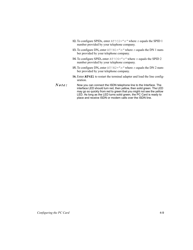- 12. To configure SPIDs, enter  $AT!C2 = "n"$  where n equals the SPID 1 number provided by your telephone company.
- 13. To configure DN, enter  $AT!NL = "n"$  where n equals the DN 1 number provided by your telephone company.
- 14. To configure SPID, enter  $AT!CG="n"$  where *n* equals the SPID 2 number provided by your telephone company.
- 15. To configure DN, enter  $AT \perp N2 = n \, \text{'}$  where *n* equals the DN 2 number provided by your telephone company.
- 16. Enter AT%Z1 to restart the terminal adapter and load the line configuration.
- $N$ o t e : Now you can connect the ISDN telephone line to the Interface. The interface LED should turn red, then yellow, then solid green. The LED may go so quickly from red to green that you might not see the yellow LED. As long as the LED turns solid green, the PC Card is ready to place and receive ISDN or modem calls over the ISDN line.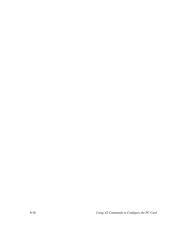Using AT Commands to Configure the PC Card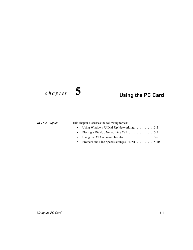## $chapter$  5

## **Using the PC Card**

#### **In This Chapter**

#### This chapter discusses the following topics:

- Using Windows 95 Dial-Up Networking.............5-2  $\bullet$
- Placing a Dial-Up Networking Call. . . . . . . . . . . . . . . . . 5-5  $\bullet$
- $\bullet$
- Protocol and Line Speed Settings (ISDN) . . . . . . . . . . . . 5-10  $\bullet$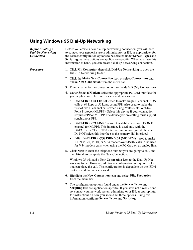#### **Using Windows 95 Dial-Up Networking**

**Before Creating a** Before you create a new dial-up networking connection, you will need **Dial-Up Networking** to contact your network system administrator or ISP, as appropriate, for **Connection** the correct configuration options to be selected under Server Types and **Scripting**, as these options are application-specific. When you have this information at hand, you can create a dial-up networking connection. 1. Click My Computer, then click Dial-Up Networking to open the **Procedure** Dial-Up Networking folder. 2. Click the Make New Connection icon or select Connections and Make New Connection from the menu bar. 3. Enter a name for the connection or use the default (My Connection). 4. Under Select a Modem, select the appropriate PC Card interface for your application. The three devices and their uses are: • DATAFIRE GO LINE 0 - used to make single B channel ISDN calls at 64 kbps or 56 kbps, using PPP. Also used to make the first of two B channel calls when using Multi-Link Point-to-Point Protocol (MLPPP). Select this device if your connection requires PPP or MLPPP. The device you are calling must support synchronous PPP. **DATAFIRE GO LINE 1 - used to establish a second ISDN B** channel for MLPPP. This interface is used only with the DATAFIRE GO - LINE 0 interface and is configured elsewhere. Do NOT select this interface as the primary dial interface! DIGI DATAFIRE GO! ISDN V.34 (MODEM) - used to make ISDN V.120, V.110, or V.34 modem-over-ISDN calls. Also used for V.34 modem calls when using the PC Card on an analog line. 5. Click Next to enter the telephone number you are going to call, and then Finish to complete the New Connection. Windows 95 will add a New Connection icon to the Dial-Up Networking folder. However, additional configuration is required before you can place the call. This configuration is dependent on the ISDN protocol and dial services used. 6. Highlight the New Connection icon and select File, Properties from the menu bar.

> 7. The configuration options found under the Server Types and **Scripting** tabs are application-specific. If you have not already done so, contact your network system administrator or ISP, as appropriate, for instructions on how you should set these options. Using this information, configure Server Types and Scripting.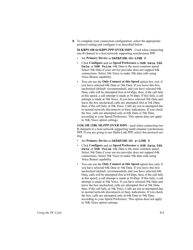8. To complete your connection configuration, select the appropriate protocol setting and configure it as described below:

56 KBPS OR 64 KBPS PPP OVER ISDN - Used when connecting one B channel to a host network supporting synchronous PPP.

- Set Primary Device as DATAFIRE-GO-LINE 0
- Click Configure and set Speed Preference to 64K Data, 56k Data, or 56K Voice. 64k Data is the most common speed. Select 56k Data if your service provider does not support 64k connections. Select 56k Voice to make 56k data calls using Voice Bearer capability.
- You can use the **Only Connect at this Speed** option box *only* if you have selected 64k Data or 56k Data. If you leave this box unchecked (default-recommended), and you have selected 64k Data, calls will be attempted first at 64 kbps, then, if the call fails at this speed, a call attempt is made at 56 kbps. If this fails, a call attempt is made at 56k Voice. If you have selected 56k Data and leave the box unchecked, calls are attempted first at 56k Data, then, if the call fails, at 56k Voice. Calls are not re-attempted due to normal network disconnects or busy indications. If you check the box, calls are attempted only at 64k Data or 56k Data, according to your Speed Preference. This option does not apply to 56K Voice option settings.

112K OR 128K MLPPP OVER ISDN - used when connecting two B channels to a host network supporting multi-channel synchronous PPP. If you are going to use Multi-Link PPP, select this protocol setting

- Set Primary Device as DATAFIRE-GO x-LINE 0
- Click Configure and set Speed Preference to 64K Data, 56k  $\bullet$ Data, or 56K Voice. 64k Data is the most common speed. Select 56k Data if your service provider does not support 64k connections. Select 56k Voice to make 56k data calls using Voice Bearer capability.
- You can use the **Only Connect at this Speed** option box only if you have selected 64k Data or 56k Data. If you leave this box unchecked (default-recommended), and you have selected 64k Data, calls will be attempted first at 64 kbps, then, if the call fails at this speed, a call attempt is made at 56 kbps. If this fails, a call attempt is made at 56k Voice. If you have selected 56k Data and leave the box unchecked, calls are attempted first at 56k Data, then, if the call fails, at 56k Voice. Calls are not re-attempted due to normal network disconnects or busy indications. If you check the box, calls are attempted only at 64k Data or 56k Data, according to your Speed Preference. This option does not apply to 56K Voice option settings.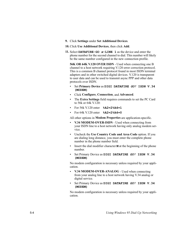- 9. Click Settings under Set Additional Devices.
- 10. Click Use Additional Devices, then click Add.
- 11. Select DATAFIRE-GO  $x$ -LINE 1 as the device and enter the phone number for the second channel to dial. This number will likely be the same number configured in the new connection profile.

56K OR 64K V.120 OVER ISDN - Used when connecting one B channel to a host network requiring V.120 error correction protocol. This is a common B channel protocol found in most ISDN terminal adapters and in other switched digital devices. V.120 is transparent to user data and can be used to transmit async PPP and other data protocols over ISDN.

- Set Primary Device as DIGI DATAFIRE GO! ISDN V.34 (MODEM)
- Click Configure, Connection, and Advanced.
- The Extra Settings field requires commands to set the PC Card to 56k or 64k V.120:
- For 56k V.120 enter  $\&A2=2\&A4=1$
- For 64k V.120 enter  $\&A2=2\&A4=0$

All other options in Modem Properties are application-specific.

- V.34 MODEM-OVER-ISDN Used when connecting from your ISDN line to a host network having only analog modem service.
- Uncheck the Use Country Code and Area Code option. If you are dialing long distance, you must enter the complete phone number in the phone number field.
- Insert the dial modifier character **M** at the beginning of the phone number.
- Set Primary Device as DIGI DATAFIRE GO! ISDN V.34 (MODEM)

No modem configuration is necessary unless required by your application.

- $\bullet$ V.34 MODEM-OVER-ANALOG - Used when connecting from your analog line to a host network having V.34 analog or digital service.
- Set Primary Device as DIGI DATAFIRE GO! ISDN V.34 (MODEM)

No modem configuration is necessary unless required by your application.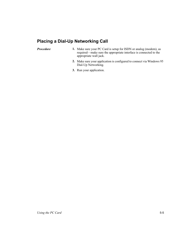## **Placing a Dial-Up Networking Call**

Procedure

- 1. Make sure your PC Card is setup for ISDN or analog (modem), as required—make sure the appropriate interface is connected to the appropriate wall jack.
- 2. Make sure your application is configured to connect via Windows 95 Dial-Up Networking.
- 3. Run your application.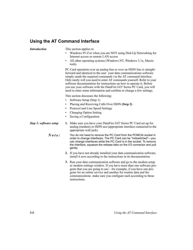### **Using the AT Command Interface**

**Introduction** This section applies to Windows 95 if or when you are NOT using Dial-Up Networking for Internet access or remote LAN access  $\bullet$ All other operating systems (Windows NT, Windows 3.1x, Macintosh). PC Card operation over an analog line or over an ISDN line is straightforward and identical to the user-your data communications software simply sends the required commands via the AT command interface. Only rarely will you need to enter AT commands yourself. Refer to your software documentation for instructions on how to operate it. Before you use your software with the DataFire GO! Series PC Card, you will need to enter some information and confirm or change a few settings. This section discusses the following: Software Setup (Step 1) Placing and Receiving Calls Over ISDN (Step 2) Protocol and Line Speed Settings **Changing Option Setting** Saving a Configuration Step 1: software setup 1. Make sure you have your DataFire GO! Series PC Card set up for analog (modem) or ISDN use (appropriate interface connected to the appropriate wall jack).  $Note:$ You do not need to remove the PC Card from the PCMCIA socket in order to change interfaces. The PC Card can be "hotswitched"-you can change interfaces while the PC Card is in the socket. To remove the interface, squeeze the release tabs on the I/O connector and pull gently.

- 2. If you have not already installed your data communication software, install it now according to the instructions in its documentation.
- 3. Run your data communication software and go to the modem setup or modem settings window. If you have more than one software program that you are going to use—for example, if you have one program for an online service and another for routine data and fax communications—make sure you configure each according to these instructions.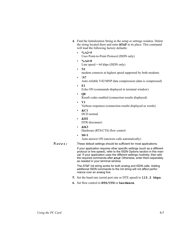- 4. Find the Initialization String in the setup or settings window. Delete the string located there and enter AT&F in its place. This command will load the following factory defaults:
	- $\%$ A2=5  $\bullet$ Uses Point-to-Point Protocol (ISDN only)
	- $\%AA=0$ 
		- Line speed =  $64$  kbps (ISDN only)
	- $N1$ 
		- modem connects at highest speed supported by both modems
	- $\bullet$  $\mathbf{N}$ Auto reliable V42/MNP data compression (data is compressed)
	- E<sub>1</sub>  $\bullet$ Echo ON (commands displayed in terminal window)
		- $O<sub>0</sub>$ Result codes enabled (connection results displayed)
		- $V1$
		- Verbose responses (connection results displayed as words)
	- $&C1$

 $\bullet$ 

- DCD normal
- $&D2$  $\bullet$ DTR disconnect
- $&K3$ Hardware (RTS/CTS) flow control
- $S0=1$  $\bullet$ 
	- Auto-answer ON (answers calls automatically)

#### $Note:$

These default settings should be sufficient for most applications.

If your application requires other specific settings (such as a different protocol or line speed), refer to the ISDN Options section in this manual. If your application uses the different settings routinely, then add the required commands after AT&F. Otherwise, enter them separately as needed in your terminal window.

The AT&F init string works for both analog and ISDN calls. Adding additional ISDN commands to the init string will not affect performance over an analog line.

- 5. Set the baud rate (serial port rate or DTE speed) to 115.2 kbps.
- 6. Set flow control to RTS/CTS or hardware.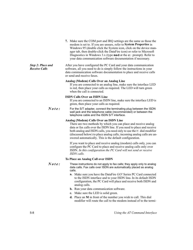|                                           | 7. Make sure the COM port and IRQ settings are the same as those the<br>modem is set to. If you are unsure, refer to System Properties in<br>Windows 95 (double click the System icon, click on the device man-<br>ager tab, then double-click the DataFire icon) or refer to Microsoft<br>Diagnostics in Windows 3.x (type $\text{msd}$ at the $\text{c}$ : prompt). Refer to<br>your data communication software documentation if necessary. |  |  |
|-------------------------------------------|------------------------------------------------------------------------------------------------------------------------------------------------------------------------------------------------------------------------------------------------------------------------------------------------------------------------------------------------------------------------------------------------------------------------------------------------|--|--|
| Step 2: Place and<br><b>Receive Calls</b> | After you have configured the PC Card and your data communication<br>software, all you need to do is simply follow the instructions in your<br>data communication software documentation to place and receive calls<br>or send and receive faxes.                                                                                                                                                                                              |  |  |
|                                           | Analog (Modem) Calls Over an Analog Line<br>If you are connected to an analog line, make sure the interface LED<br>is red, then place your calls as required. The LED will turn green<br>when the call is connected.                                                                                                                                                                                                                           |  |  |
|                                           | <b>ISDN Calls Over an ISDN Line</b><br>If you are connected to an ISDN line, make sure the interface LED is<br>green, then place your calls as required.                                                                                                                                                                                                                                                                                       |  |  |
| Note:                                     | For the S/T adapter, connect the terminating plug between the ISDN<br>wall jack and the telephone cable (recommended) or between the<br>telephone cable and the ISDN S/T interface.                                                                                                                                                                                                                                                            |  |  |
|                                           | Analog (Modem) Calls Over an ISDN Line<br>There are two methods by which you can place and receive analog<br>data or fax calls over the ISDN line. If you need to place and receive<br>both analog and ISDN calls, you need only to use the M dial modifier<br>(discussed below) to place analog calls; incoming analog calls are an-<br>swered automatically. This is the default configuration.                                              |  |  |
|                                           | If you want to place and receive analog (modem) calls only, you can<br>configure the PC Card to place and receive analog calls only over<br>ISDN. In this configuration the PC Card will not send or receive<br><i>ISDN</i> calls.                                                                                                                                                                                                             |  |  |
|                                           | To Place an Analog Call over ISDN                                                                                                                                                                                                                                                                                                                                                                                                              |  |  |
| Note:                                     | These instructions do not apply to fax calls; they apply only to analog<br>data calls. Fax calls over ISDN are automatically placed as analog<br>calls.                                                                                                                                                                                                                                                                                        |  |  |
|                                           | a. Make sure you have the DataFire GO! Series PC Card connected<br>to the ISDN interface and to your ISDN line. In its default ISDN<br>configuration, the PC Card will place and receive both ISDN and<br>analog calls.                                                                                                                                                                                                                        |  |  |
|                                           | <b>b.</b> Run your data communication software.                                                                                                                                                                                                                                                                                                                                                                                                |  |  |
|                                           | c. Make sure the LED is solid green.                                                                                                                                                                                                                                                                                                                                                                                                           |  |  |
|                                           | d. Place an M in front of the number you wish to call. This dial<br>modifier will route the call to the modem instead of to the termi-                                                                                                                                                                                                                                                                                                         |  |  |
| $5 - 8$                                   | Using the AT Command Interface                                                                                                                                                                                                                                                                                                                                                                                                                 |  |  |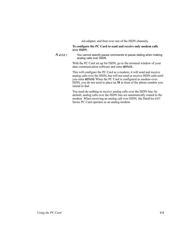nal adapter, and then over one of the ISDN channels.

#### To configure the PC Card to send and receive only modem calls over ISDN:

 $Note:$ You cannot specify pause commands to pause dialing when making analog calls over ISDN.

> With the PC Card set up for ISDN, go to the terminal window of your data communication software and enter AT%01.

This will configure the PC Card as a modem; it will send and receive analog calls over the ISDN, but will not send or receive ISDN calls until you enter AT%00 When the PC Card is configured as modem-over-ISDN, you do not need to place an M in front of the phone number you intend to dial.

You need do nothing to receive analog calls over the ISDN line; by default, analog calls over the ISDN line are automatically routed to the modem. When receiving an analog call over ISDN, the DataFire GO! Series PC Card operates as an analog modem.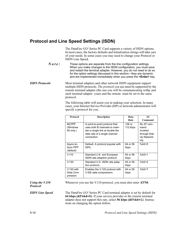### **Protocol and Line Speed Settings (ISDN)**

The DataFire GO! Series PC Card supports a variety of ISDN options. In most cases, the factory defaults and initialization strings will take care of your needs. In some cases you may need to change your Protocol or ISDN Line Speed.

 $Note:$ These options are separate from the line configuration settings. When you make changes to the ISDN configuration, you must save and restart the terminal adapter. However, you do not need to do so for the option settings discussed in this section—they are dynamic and are implemented immediately when you press the <Enter> key.

**ISDN** Protocols Most terminal adapters and other network ISDN equipment support multiple ISDN protocols. The protocol you use must be supported by the remote terminal adapter (the one you will be communicating with), and each terminal adapter-yours and the remote-must be set to the same protocol.

> The following table will assist you in making your selection. In many cases, your Internet Service Provider (ISP) or network administrator will specify a protocol for you.

| <b>Protocol</b>                       | <b>Description</b>                                                                                                                                  | Data<br>Rate       | AT<br>Command                                                         |
|---------------------------------------|-----------------------------------------------------------------------------------------------------------------------------------------------------|--------------------|-----------------------------------------------------------------------|
| <b>MLPPP</b><br>(Windows<br>95 only.) | A point-to-point protocol that<br>uses both B channels to main-<br>tain a single link at double the<br>data rate of a single channel<br>connection. | 128 or<br>112 kbps | No AT com-<br>mand:<br>invoked<br>through Dial-<br>Up Network-<br>ing |
| Async-to-<br>Sync PPP<br>(default)    | Default. A protocol popular with<br>ISPs.                                                                                                           | 64 or 56<br>kbps   | $%A2=5$                                                               |
| V.110                                 | Standard U.K. and European<br>ISDN rate adaption protocol                                                                                           | 64 or 56<br>kbps   | $%A2=1$                                                               |
| V.120                                 | Standard U.S. ISDN rate adap-<br>tion protocol.                                                                                                     | 64 or 56<br>kbps   | $%A2=2$                                                               |
| $V.120$ with<br>Data Com-<br>pression | Enables the V.120 protocol with<br>V.42b data compression.                                                                                          | 64 or 56<br>kbps   | $%A2=7$                                                               |

Using the V.110 **Protocol** 

Whenever you use the V.110 protocol, you must also enter ATN0.

**ISDN** Line Speed

The DataFire GO! Series PC Card terminal adapter is set by default for 64 kbps (AT%A4=0). If your service provider or the remote terminal adapter does not support this rate, select 56 kbps (AT%A4=1). Instructions on changing the option follow.

Protocol and Line Speed Settings (ISDN)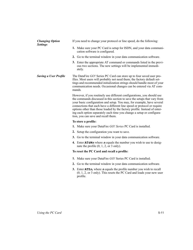| <b>Changing Option</b><br><b>Settings</b> | If you need to change your protocol or line speed, do the following:                                                                                                                                                                                                                                                                                                                                                                                                                                  |  |  |
|-------------------------------------------|-------------------------------------------------------------------------------------------------------------------------------------------------------------------------------------------------------------------------------------------------------------------------------------------------------------------------------------------------------------------------------------------------------------------------------------------------------------------------------------------------------|--|--|
|                                           | 1. Make sure your PC Card is setup for ISDN, and your data communi-<br>cation software is configured.                                                                                                                                                                                                                                                                                                                                                                                                 |  |  |
|                                           | 2. Go to the terminal window in your data communication software.                                                                                                                                                                                                                                                                                                                                                                                                                                     |  |  |
|                                           | 3. Enter the appropriate AT command or commands listed in the previ-<br>ous two sections. The new settings will be implemented immedi-<br>ately.                                                                                                                                                                                                                                                                                                                                                      |  |  |
| <b>Saving a User Profile</b>              | The DataFire GO! Series PC Card can store up to four saved user pro-<br>files. Most users will probably not need them; the factory default set-<br>tings and recommended initialization strings should handle most of your<br>communication needs. Occasional changes can be entered via AT com-<br>mands.                                                                                                                                                                                            |  |  |
|                                           | However, if you routinely use different configurations, you should use<br>the commands discussed in this section to save the setups that vary from<br>your basic configuration and setup. You may, for example, have several<br>connections that each have a different line speed or protocol or require<br>options other than those loaded by the factory profile. Instead of enter-<br>ing each option separately each time you change a setup or configura-<br>tion, you can save and recall them. |  |  |
|                                           | To store a profile:                                                                                                                                                                                                                                                                                                                                                                                                                                                                                   |  |  |
|                                           | 1. Make sure your DataFire GO! Series PC Card is installed.                                                                                                                                                                                                                                                                                                                                                                                                                                           |  |  |
|                                           | 2. Setup the configuration you want to save.                                                                                                                                                                                                                                                                                                                                                                                                                                                          |  |  |
|                                           | 3. Go to the terminal window in your data communication software.                                                                                                                                                                                                                                                                                                                                                                                                                                     |  |  |
|                                           | 4. Enter $AT\square Wn$ where n equals the number you wish to use to desig-<br>nate the profile $(0, 1, 2, \text{or } 3 \text{ only})$ .                                                                                                                                                                                                                                                                                                                                                              |  |  |
|                                           | To reset the PC Card and recall a profile:                                                                                                                                                                                                                                                                                                                                                                                                                                                            |  |  |
|                                           | 1. Make sure your DataFire GO! Series PC Card is installed.                                                                                                                                                                                                                                                                                                                                                                                                                                           |  |  |
|                                           | 2. Go to the terminal window in your data communication software.                                                                                                                                                                                                                                                                                                                                                                                                                                     |  |  |
|                                           | 3. Enter $ATZn$ , where $n$ equals the profile number you wish to recall<br>$(0, 1, 2, 0r 3)$ only). This resets the PC Card and loads your new user<br>profile.                                                                                                                                                                                                                                                                                                                                      |  |  |
|                                           |                                                                                                                                                                                                                                                                                                                                                                                                                                                                                                       |  |  |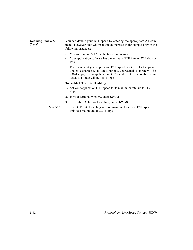**Doubling Your DTE** You can double your DTE speed by entering the appropriate AT com-**Speed** mand. However, this will result in an increase in throughput only in the following instances:

- $\bullet$ You are running V.120 with Data Compression
- $\bullet$ Your application software has a maximum DTE Rate of 57.6 kbps or less.

For example, if your application DTE speed is set for 115.2 kbps and you have enabled DTE Rate Doubling, your actual DTE rate will be 230.4 kbps; if your application DTE speed is set for 57.6 kbps, your actual DTE rate will be 115.2 kbps.

#### To enable DTE Rate Doubling:

- 1. Set your application DTE speed to its maximum rate, up to 115.2 kbps.
- 2. In your terminal window, enter AT~M1
- 3. To disable DTE Rate Doubling, enter AT~M2
- $Note:$ The DTE Rate Doubling AT command will increase DTE speed only to a maximum of 230.4 kbps.

Protocol and Line Speed Settings (ISDN)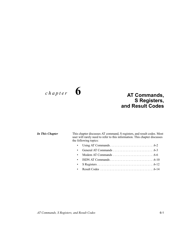## chapter  $\boldsymbol{6}$

# **AT Commands,<br>S Registers,<br>and Result Codes**

#### **In This Chapter**

This chapter discusses AT command, S registers, and result codes. Most user will rarely need to refer to this information. This chapter discusses the following topics:

#### AT Commands, S Registers, and Result Codes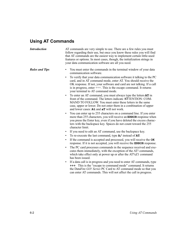## **Using AT Commands**

| <b>Introduction</b>   | AT commands are very simple to use. There are a few rules you must<br>follow regarding their use, but once you know these rules you will find<br>that AT commands are the easiest way to implement certain little-used<br>features or options. In most cases, though, the initialization strings in<br>your data communication software are all you need.                                                                               |
|-----------------------|-----------------------------------------------------------------------------------------------------------------------------------------------------------------------------------------------------------------------------------------------------------------------------------------------------------------------------------------------------------------------------------------------------------------------------------------|
| <b>Rules and Tips</b> | You must enter the commands in the terminal window of your data<br>communication software.<br>To verify that your data communication software it talking to the PC<br>$\bullet$<br>card, and in AT command mode, enter AT. You should receive the<br>OK response. If not, your software and card are not talking. If a call<br>is in progress, enter $++$ . This is the escape command. It returns<br>your terminal to AT command mode. |
|                       | To enter an AT command, you must always type the letters <b>AT</b> in<br>$\bullet$<br>front of the command. The letters indicate ATTENTION: COM-<br>MAND TO FOLLOW. You must enter these letters in the same<br>case, upper or lower. Do not enter them in a combination of upper<br>and lower cases: At and aT will not work.                                                                                                          |
|                       | You can enter up to 255 characters on a command line. If you enter<br>$\bullet$<br>more than 255 characters, you will receive an ERROR response when<br>you press the Enter key, even if you have deleted the excess charac-<br>ters with the backspace key. Spaces do not count toward the 255<br>character limit.                                                                                                                     |
|                       | If you need to edit an AT command, use the backspace key.<br>$\bullet$                                                                                                                                                                                                                                                                                                                                                                  |
|                       | To re-execute the last command, type A/ instead of AT.<br>٠                                                                                                                                                                                                                                                                                                                                                                             |
|                       | If the command is accepted and processed, you will receive the OK<br>$\bullet$<br>response. If it is not accepted, you will receive the ERROR response.                                                                                                                                                                                                                                                                                 |
|                       | The PC card processes commands in the sequence received and exe-<br>$\bullet$<br>cutes them immediately, with the exception of the AT! commands,<br>which take effect only at power up or after the AT%Z1 command<br>has been issued.                                                                                                                                                                                                   |
|                       | If a data call is in progress and you need to enter AT commands, type<br>+++ This is the "escape to command mode" command. It returns<br>the DataFire GO! Series PC Card to AT command mode so that you<br>can enter AT commands. This will not affect the call in progress.                                                                                                                                                            |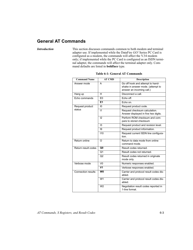## **General AT Commands**

**Introduction** 

This section discusses commands common to both modem and terminal adapter use. If implemented while the DataFire GO! Series PC Card is configured as a modem, the commands will affect the V.34 modem only; if implemented while the PC Card is configured as an ISDN terminal adapter, the commands will affect the terminal adapter only. Command defaults are listed in **boldface** type.

| <b>Command Name</b>       | <b>AT CMD</b>   | <b>Description</b>                                                                                 |
|---------------------------|-----------------|----------------------------------------------------------------------------------------------------|
| Answer mode               | A               | Go off hook and attempt to hand-<br>shake in answer mode. (attempt to<br>answer an incoming call.) |
| Hang up                   | н               | Disconnect a call.                                                                                 |
| Echo commands             | F <sub>0</sub>  | Echo off.                                                                                          |
|                           | E1              | Echo on.                                                                                           |
| Request product           | $\overline{10}$ | Request product code.                                                                              |
| status                    | $\mathsf{I}$    | Request checksum calculation.<br>Answer displayed in five hex digits.                              |
|                           | 12              | Perform ROM checksum and com-<br>pare to stored checksum                                           |
|                           | 13              | Request product and revision level.                                                                |
|                           | 9               | Request product information.                                                                       |
|                           | 110             | Request current ISDN line configura-<br>tion.                                                      |
| Return online             | $\Omega$        | Return to data mode from online<br>command mode.                                                   |
| Return result codes       | Q0              | Result codes returned.                                                                             |
|                           | Q <sub>1</sub>  | Result codes not returned.                                                                         |
|                           | Q <sub>2</sub>  | Result codes returned in originate<br>mode only.                                                   |
| Verbose mode              | V <sub>0</sub>  | Numeric responses enabled.                                                                         |
|                           | $\overline{V}$  | Verbose responses enabled.                                                                         |
| <b>Connection results</b> | $\overline{W}$  | Carrier and protocol result codes dis-<br>abled.                                                   |
|                           | W <sub>1</sub>  | Carrier and protocol result codes dis-<br>abled.                                                   |
|                           | W <sub>2</sub>  | Negotiation result codes reported in<br>1-line format.                                             |

|  | Table 6-1: General AT Commands |
|--|--------------------------------|
|  |                                |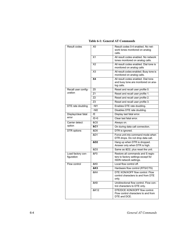| Result codes                    | X <sub>0</sub>  | Result codes 0-4 enabled. No net-<br>work tones monitored on analog<br>calls.                      |
|---------------------------------|-----------------|----------------------------------------------------------------------------------------------------|
|                                 | X <sub>1</sub>  | All result codes enabled. No network<br>tones monitored on analog calls.                           |
|                                 | X <sub>2</sub>  | All result codes enabled. Dial tone is<br>monitored on analog calls                                |
|                                 | X <sub>3</sub>  | All result codes enabled. Busy tone is<br>monitored on analog calls.                               |
|                                 | X <sub>4</sub>  | All result codes enabled. Dial tone<br>and busy tone are monitored on ana-<br>log calls.           |
| Recall user config-             | Z <sub>0</sub>  | Reset and recall user profile 0.                                                                   |
| uration                         | Z1              | Reset and recall user profile 1.                                                                   |
|                                 | Z <sub>2</sub>  | Reset and recall user profile 2.                                                                   |
|                                 | Z <sub>3</sub>  | Reset and recall user profile 3.                                                                   |
| DTE rate doubling               | $-M1$           | Enables DTE rate doubling.                                                                         |
|                                 | $-M2$           | Disables DTE rate doubling.                                                                        |
| Display/clear fatal             | /E              | Display last fatal error.                                                                          |
| error                           | $/E=0$          | Clear last fatal error.                                                                            |
| Carrier detect                  | &C <sub>0</sub> | Always on.                                                                                         |
| option                          | &C1             | On during data call connection.                                                                    |
| <b>DTR</b> options              | &D <sub>0</sub> | DTR is ignored.                                                                                    |
|                                 | &D1             | Force unit into command mode when<br>DTR drops. Do not drop data call.                             |
|                                 | &D2             | Hang up when DTR is dropped.<br>Answer only when DTR is high.                                      |
|                                 | &D3             | Same as &D2, plus reset the unit.                                                                  |
| Load factory con-<br>figuration | &F <sub>0</sub> | Restore all commands and S regis-<br>ters to factory settings except for<br>ISDN network settings. |
| Flow control                    | &K0             | Local flow control off.                                                                            |
|                                 | &K3             | Hardware flow control (RTS/CTS)                                                                    |
|                                 | &K4             | DTE XON/XOFF flow control. Flow<br>control characters to and from DTE<br>only.                     |
|                                 | &K8             | Unidirectional flow control. Flow con-<br>trol characters to DTE only.                             |
|                                 | &K12            | DTE/DCE XON/XOFF flow control.<br>Flow control characters to and from<br>DTE and DCE.              |

#### Table 6-1: General AT Commands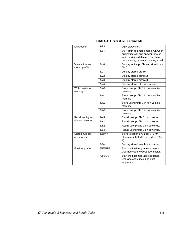| DSR option                        | <b>&amp;S0</b>  | DSR always on.                                                                                                                                       |
|-----------------------------------|-----------------|------------------------------------------------------------------------------------------------------------------------------------------------------|
|                                   | &S1             | DSR off in command mode. On when<br>originating call and answer tone or<br>valid carrier is detected. On when<br>handshaking, when answering a call. |
| View active and<br>stored profile | &V <sub>0</sub> | Display active profile and stored pro-<br>file 0.                                                                                                    |
|                                   | <b>&amp;V1</b>  | Display stored profile 1.                                                                                                                            |
|                                   | &V2             | Display stored profile 2.                                                                                                                            |
|                                   | &V3             | Display stored profile 3.                                                                                                                            |
|                                   | <b>&amp;V4</b>  | Display stored phone numbers.                                                                                                                        |
| Write profile to<br>memory        | &W0             | Store user profile 0 in non-volatile<br>memory.                                                                                                      |
|                                   | <b>&amp;W1</b>  | Store user profile 1 in non-volatile<br>memory.                                                                                                      |
|                                   | <b>&amp;W2</b>  | Store user profile 2 in non-volatile<br>memory.                                                                                                      |
|                                   | &W <sub>3</sub> | Store user profile 3 in non-volatile<br>memory.                                                                                                      |
| Recall configura-                 | 8Y0             | Recall user profile 0 on power up.                                                                                                                   |
| tion on power up.                 | &Y1             | Recall user profile 1 on power up.                                                                                                                   |
|                                   | &Y2             | Recall user profile 2 on power up.                                                                                                                   |
|                                   | &Y3             | Recall user profile 3 on power up.                                                                                                                   |
| Stored number<br>commands         | $&Zn="x"$       | Store telephone number x (0-40<br>characters, 0-9, $#$ ,*) in position $n$ (0-<br>4)                                                                 |
|                                   | 8Zn             | Display stored telephone number n.                                                                                                                   |
| Flash upgrade                     | %FAPPS          | Start the flash upgrade sequence.<br>Upgrade code, except boot sector.                                                                               |
|                                   | %FBOOT          | Start the flash upgrade sequence.<br>Upgrade code, including boot<br>sequence.                                                                       |

#### **Table 6-1: General AT Commands**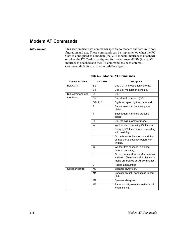## **Modem AT Commands**

**Introduction** 

This section discusses commands specific to modem and facsimile configuration and use. These commands can be implemented when the PC Card is configured as a modem (the V.34 modem interface is attached) or when the PC Card is configured for modem-over-ISDN (the ISDN interface is attached and the 801 command has been entered). Command defaults are listed in **boldface** type.

| <b>Command Name</b> | AT CMD          | <b>Description</b>                                                                                           |
|---------------------|-----------------|--------------------------------------------------------------------------------------------------------------|
| <b>Bell/CCITT</b>   | B0              | Use CCITT modulation scheme.                                                                                 |
|                     | <b>B1</b>       | Use Bell modulation scheme.                                                                                  |
| Dial command and    | D               | Dial                                                                                                         |
| modifiers           | Sn              | Dial stored number $n(0-9)$                                                                                  |
|                     | $0-9, \#$ , $*$ | Digits accepted by the command.                                                                              |
|                     | P               | Subsequent numbers are pulse<br>dialed.                                                                      |
|                     | T               | Subsequent numbers are tone<br>dialed.                                                                       |
|                     | R               | Dial the call in answer mode.                                                                                |
|                     | W               | Wait for dial tone using S7 timeout.                                                                         |
|                     | ,               | Delay by S8 time before proceeding<br>with next digit.                                                       |
|                     | Ţ               | Go on hook for 5 seconds and then<br>off hook for.5 seconds before con-<br>tinuing.                          |
|                     | @               | Wait for five seconds in silence<br>before continuing.                                                       |
|                     | ÷,              | Go to command mode after number<br>is dialed. Characters after this com-<br>mand are treated as AT commands. |
|                     | L               | Redial last number.                                                                                          |
| Speaker control     | M <sub>0</sub>  | Speaker always off.                                                                                          |
|                     | M1              | Speaker on until handshake is com-<br>plete.                                                                 |
|                     | M <sub>2</sub>  | Speaker always on.                                                                                           |
|                     | M <sub>3</sub>  | Same as M1, except speaker is off<br>when dialing.                                                           |

| Table 6-2: Modem AT Commands |  |
|------------------------------|--|
|------------------------------|--|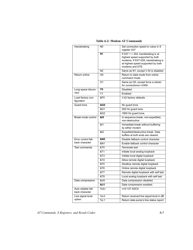| Handshaking                           | N <sub>0</sub>  | Set connection speed to value in S<br>register S37                                                                                                                   |
|---------------------------------------|-----------------|----------------------------------------------------------------------------------------------------------------------------------------------------------------------|
|                                       | N <sub>1</sub>  | If $S37 < 254$ , handshaking is at<br>highest speed supported by both<br>modems. If S37=255, handshaking is<br>at highest speed supported by both<br>modems and DTE. |
|                                       | N <sub>2</sub>  | Same as N1, except V.34 is disabled.                                                                                                                                 |
| Return online                         | O <sub>0</sub>  | Return to data mode from online<br>command mode.                                                                                                                     |
|                                       | O <sub>1</sub>  | Same as O0, except force a retrain<br>for connections>=2400.                                                                                                         |
| Long space discon-                    | Y <sub>0</sub>  | Disabled.                                                                                                                                                            |
| nect                                  | $\overline{Y1}$ | Enabled.                                                                                                                                                             |
| Load factory con-<br>figuration       | &F <sub>0</sub> | V.42 factory defaults.                                                                                                                                               |
| Guard tone                            | &G0             | No guard tone.                                                                                                                                                       |
|                                       | &G1             | 550 Hz guard tone.                                                                                                                                                   |
|                                       | &G2             | 1800 Hz guard tone.                                                                                                                                                  |
| Break mode control                    | &10             | In sequence break, non-expedited,<br>non-destructive.                                                                                                                |
|                                       | &11             | Immediate break without buffering<br>by either modem                                                                                                                 |
|                                       | &12             | Expedited/destructive break. Data<br>buffers at both ends are cleared.                                                                                               |
| Error control fall-                   | <b>&amp;N0</b>  | Disable fallback control character                                                                                                                                   |
| back character                        | &N1             | Enable fallback control character                                                                                                                                    |
| <b>Test commands</b>                  | &T0             | <b>Terminate test</b>                                                                                                                                                |
|                                       | &T1             | Initiate local analog loopback                                                                                                                                       |
|                                       | &T3             | Initiate local digital loopback                                                                                                                                      |
|                                       | &T4             | Allow remote digital loopback                                                                                                                                        |
|                                       | &T5             | Disallow remote digital loopback                                                                                                                                     |
|                                       | &T <sub>6</sub> | Online remote digital loopback                                                                                                                                       |
|                                       | &T7             | Remote digital loopback with self test                                                                                                                               |
|                                       | &T8             | Local analog loopback with self test                                                                                                                                 |
| Data compression                      | &U0             | Data compression disabled.                                                                                                                                           |
|                                       | 8U1             | Data compression enabled.                                                                                                                                            |
| Auto reliable fall-<br>back character | %An             | n=0-127 ASCII                                                                                                                                                        |
| Line signal level                     | %LO             | Return received line signal level in dB                                                                                                                              |
| option                                | %L1             | Return data pump's line status report                                                                                                                                |

Table 6-2: Modem AT Commands

AT Commands, S Registers, and Result Codes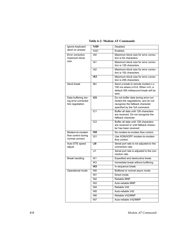| <b>Table 6-2: Modem AT Commands</b> |  |  |
|-------------------------------------|--|--|
|-------------------------------------|--|--|

| Ignore keyboard                                                | %Q0                        | Disabled.                                                                                                                                        |
|----------------------------------------------------------------|----------------------------|--------------------------------------------------------------------------------------------------------------------------------------------------|
| abort on answer                                                | $\sqrt{201}$               | Enabled.                                                                                                                                         |
| Error correction<br>maximum block                              | <b>\A0</b>                 | Maximum block size for error correc-<br>tion is 64 characters.                                                                                   |
| size                                                           | <b>\A1</b>                 | Maximum block size for error correc-<br>tion is 128 characters.                                                                                  |
|                                                                | <b>\A2</b>                 | Maximum block size for error correc-<br>tion is 192 characters.                                                                                  |
|                                                                | <b>\A3</b>                 | Maximum block size for error correc-<br>tion is 256 characters.                                                                                  |
| Send break                                                     | $\mathsf{B}n$              | Send a break to remote modem $n \times$<br>100 ms where n=0-9. When n=0, a<br>default 300 millisecond break will be<br>sent.                     |
| Data buffering dur-<br>ing error-corrected<br>link negotiation | $\overline{C}0$            | Do not buffer data during error-cor-<br>rected link negotiations, and do not<br>recognize the fallback character<br>specified by the %A command. |
|                                                                | $\setminus$ C <sub>1</sub> | Buffer all data until 128 characters<br>are received. Do not recognize the<br>fallback character.                                                |
|                                                                | $\setminus$ C <sub>2</sub> | Buffer all data until 128 characters<br>are received or until fallback charac-<br>ter has been received.                                         |
| Modem-to-modem                                                 | $\sqrt{G}0$                | No modem-to-modem flow control.                                                                                                                  |
| flow control during<br>normal connect                          | $\overline{G1}$            | Use XON/XOFF modem-to-modem<br>flow control.                                                                                                     |
| Auto DTE speed<br>adjust                                       | U                          | Serial port rate is not adjusted to the<br>connection rate.                                                                                      |
|                                                                | U1                         | Serial port rate is adjusted to the con-<br>nection rate.                                                                                        |
| <b>Break handling</b>                                          | <b>\K1</b>                 | Expedited and destructive break.                                                                                                                 |
|                                                                | $\overline{K3}$            | Immediate break without buffering.                                                                                                               |
|                                                                | <b>\K5</b>                 | In sequence break.                                                                                                                               |
| Operational mode                                               | \N <sub>0</sub>            | Buffered or normal async mode.                                                                                                                   |
|                                                                | <b>\N1</b>                 | Direct mode.                                                                                                                                     |
|                                                                | <b>\N2</b>                 | Reliable MNP                                                                                                                                     |
|                                                                | $\mathsf{M}3$              | Auto-reliable MNP                                                                                                                                |
|                                                                | $\overline{M4}$            | Reliable V42                                                                                                                                     |
|                                                                | <b>\N5</b>                 | Auto-reliable V42                                                                                                                                |
|                                                                | <b>\N6</b>                 | Reliable V42/MNP                                                                                                                                 |
|                                                                | <b>\N7</b>                 | Auto-reliable V42/MNP                                                                                                                            |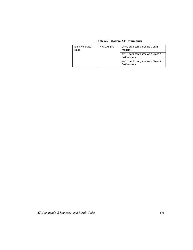#### Table 6-2: Modem AT Commands

| Identify service<br>class | +FCLASS=? | 0=PC card configured as a data<br>modem.        |
|---------------------------|-----------|-------------------------------------------------|
|                           |           | 1=PC card configured as a Class 1<br>FAX modem  |
|                           |           | 2=PC card configured as a Class 2<br>FAX modem. |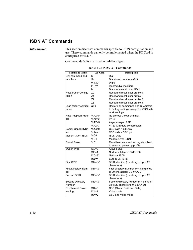## **ISDN AT Commands**

**Introduction** 

This section discusses commands specific to ISDN configuration and<br>use. These commands can only be implemented when the PC Card is configured for ISDN.

Command defaults are listed in **boldface** type.

| <b>Command Name</b>         | <b>AT Cmd</b>   | <b>Description</b>                                        |
|-----------------------------|-----------------|-----------------------------------------------------------|
| Dial command and            | D               | Dial                                                      |
| modifiers                   | Sn              | Dial stored number n (0-9                                 |
|                             | $0-9, #.*$      | <b>Digits</b>                                             |
|                             | P.T.W           | Ignored dial modifiers                                    |
|                             | M               | Dial modem call over ISDN                                 |
| Recall User Configu-        | Z <sub>0</sub>  | Reset and recall user profile 0                           |
| ration                      | Z1              | Reset and recall user profile 1                           |
|                             | Z <sub>2</sub>  | Reset and recall user profile 2                           |
|                             | Z <sub>3</sub>  | Reset and recall user profile 3                           |
| Load factory configu-       | &F <sub>0</sub> | Restore all commands and S registers                      |
| ration                      |                 | to factory settings except for ISDN net-                  |
|                             |                 | work settings.                                            |
| Rate Adaption Proto-        | %A2=0           | No protocol, clear channel.                               |
| col                         | %A2=2           | V.120                                                     |
|                             | $%A2=5$         | Async-to-sync PPP                                         |
|                             | $%A2=7$         | V.120 with data compression                               |
| Bearer CapabilitySe-        | %A4=0           | $CSD$ calls = $64Kbps$                                    |
| lect                        | $%AA=1$         | $CSD$ calls = $56Kbps$                                    |
| Modem-Over- ISDN            | %O0             | <b>ISDN Data</b>                                          |
|                             | %O1             | Modem-Over-ISDN                                           |
| Global Reset                | %Z1             | Reset hardware and set registers back                     |
|                             |                 | to selected power up profile.                             |
| Switch Type                 | $ICO=0$         | AT&T 5ESS                                                 |
|                             | $IC0 = 1$       | Northern Telecom DMS-100                                  |
|                             | $IC0 = 32$      | <b>National ISDN</b>                                      |
|                             | $IC0=4$         | Euro ISDN (ETSI)                                          |
| First SPID                  | $IC2="n"$       | SPID identifier ( $n =$ string of up to 20                |
|                             | $IN1 = "n"$     | characters)<br>First directory number $(n =$ string of up |
| First Directory Num-<br>ber |                 | to 20 characters; 0-9,#,*,A-D)                            |
| Second SPID                 | $IC6="n"$       | SPID identifier ( $n =$ string of up to 20                |
|                             |                 | characters)                                               |
| <b>Second Directory</b>     | $IN2 = "n"$     | Second directory number ( $n =$ string of                 |
| Number                      |                 | up to 20 characters; $0-9, #, *, A-D$ )                   |
| <b>B1-Channel Provi-</b>    | $IC4 = 0$       | CSD (Circuit Switched Data)                               |
| sioning                     | $IC4 = 1$       | Voice mode                                                |
|                             | $IC4=2$         | CSD and Voice mode                                        |
|                             |                 |                                                           |

**Table 6-3: ISDN AT Commands** 

**ISDN AT Commands**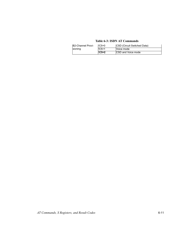#### **Table 6-3: ISDN AT Commands**

| <b>B2-Channel Provi-</b> | $IC5=0$                 | <b>CSD (Circuit Switched Data)</b> |
|--------------------------|-------------------------|------------------------------------|
| sioning                  | $IC5 = 1$<br>Voice mode |                                    |
|                          | $IC5=2$                 | <b>ICSD and Voice mode</b>         |

AT Commands, S Registers, and Result Codes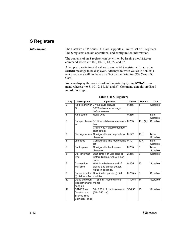### **S Registers**

**Introduction** 

The DataFire GO! Series PC Card supports a limited set of S registers. The S registers contain operational and configuration information.

The contents of an S register can be written by issuing the  $ATSn=x$ command where  $n = 0-8$ , 10-12, 18, 25, and 37.

Attempts to write invalid values to any valid S register will cause the ERROR message to be displayed. Attempts to write values to non-existent S registers will not have an effect on the DataFire GO! Series PC Card.

You can display the contents of an S register by typing ATSn? command where  $n = 0-8$ , 10-12, 18, 25, and 37. Command defaults are listed in **boldface** type.

| Reg            | <b>Description</b>         | Operation                                             | <b>Values</b> | <b>Default</b> | <b>Type</b> |
|----------------|----------------------------|-------------------------------------------------------|---------------|----------------|-------------|
| $\overline{0}$ |                            | Ring to answer $0 = No$ auto answer                   | $0 - 255$     |                | Storable    |
|                | on                         | $1-255$ = Number of rings                             |               |                |             |
|                |                            | before answer                                         |               |                |             |
| 1              | Ring count                 | <b>Read Only</b>                                      | $0 - 255$     |                | Non-        |
|                |                            |                                                       |               |                | Storable    |
| $\overline{2}$ |                            | Escape charac- $0-127$ = valid escape charac- $0-255$ |               | 43H (+)        | Storable    |
|                | ter                        | ters.                                                 |               |                |             |
|                |                            | Chars > 127 disable escape                            |               |                |             |
|                |                            | char detect                                           |               |                |             |
| 3              |                            | Carriage return Configurable carriage return          | $0 - 127$     | 13H            | Non-        |
|                |                            | character                                             |               |                | Storable    |
| 4              | Line feed                  | Configurable line feed charac-0-127                   |               | 10H            | Non-        |
|                |                            | ter                                                   |               |                | Storable    |
| 5              | Back space                 | Configurable back space                               | $0 - 255$     | 8              | Non-        |
|                |                            | character                                             |               |                | Storable    |
| 6              | Dial tone wait             | Wait Time For Dial Tone or                            | $2 - 255$     | $\overline{2}$ | Storable    |
|                | time                       | Before Dialing. Value in sec-                         |               |                |             |
|                |                            | onds                                                  |               |                |             |
| 7              | Connection                 | Wait time between end of                              | $0 - 255$     | 30             | Storable    |
|                | wait time                  | dialing and carrier detect.                           |               |                |             |
|                |                            | Value in seconds.                                     |               |                |             |
| 8              |                            | Pause time for Duration for pause (,) dial            | $0 - 255s$    | 2              | Storable    |
|                | (,) dial modifier modifier |                                                       |               |                |             |
| 10             |                            | Delay between   1 - 255 in.1 second incre-            | 1-125 $s$     | 14             | Storable    |
|                | lost carrier and Iments    |                                                       |               |                |             |
|                | hang up                    |                                                       |               |                |             |
| 11             | <b>DTMF</b> Tone           | 50 - 255 in 1 ms increments                           | $50 - 255$    | 95             | Storable    |
|                | Duration and               | $(55 - 255$ ms)                                       |               |                |             |
|                | Silence Time               |                                                       |               |                |             |
|                | <b>Between Tones</b>       |                                                       |               |                |             |

Table 6-4: S Registers

S Registers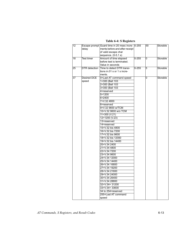|  | Table 6-4: S Registers |
|--|------------------------|
|--|------------------------|

| 12              |                      | Escape prompt Guard time in 20 msec incre- 0-255 |           | 50 | Storable |
|-----------------|----------------------|--------------------------------------------------|-----------|----|----------|
|                 | delay                | ments before and after receipt                   |           |    |          |
|                 |                      | of valid escape char                             |           |    |          |
|                 |                      | sequence. $(0-5.1 s)$                            |           |    |          |
| $\overline{18}$ | Test timer           | Amount of time elapsed                           | $0 - 255$ | 0  | Storable |
|                 |                      | before test is terminated.                       |           |    |          |
|                 |                      | Value in seconds                                 |           |    |          |
| $\overline{25}$ | <b>DTR</b> detection | Time to detect DTR transi-                       | $0 - 255$ | 5  | Storable |
|                 |                      | tions in.01 s or 1 s incre-                      |           |    |          |
|                 |                      | ments.                                           |           |    |          |
| $\overline{37}$ | <b>Desired DCE</b>   | 0=Last AT command speed                          |           | Ō  | Storable |
|                 | speed                | 1=300 (Bell 103                                  |           |    |          |
|                 |                      | 2=300 (Bell 103                                  |           |    |          |
|                 |                      | 3=300 (Bell 103                                  |           |    |          |
|                 |                      | 4=reserved                                       |           |    |          |
|                 |                      | $5 = 1200$                                       |           |    |          |
|                 |                      | $6 = 2400$                                       |           |    |          |
|                 |                      | 7=V.32 4800                                      |           |    |          |
|                 |                      | 8=reserved                                       |           |    |          |
|                 |                      | 9=V.32 9600 w/TCM                                |           |    |          |
|                 |                      | 10=V.32 9600 w/o TCM                             |           |    |          |
|                 |                      | $11=300(V.21)$                                   |           |    |          |
|                 |                      | 12=1200 (V.23)                                   |           |    |          |
|                 |                      | 13=reserved                                      |           |    |          |
|                 |                      | 14=reserved                                      |           |    |          |
|                 |                      | 15=V.32 bis 4800                                 |           |    |          |
|                 |                      | 16=V.32 bis 7200                                 |           |    |          |
|                 |                      | 17=V.32 bis 9600                                 |           |    |          |
|                 |                      | 18=V.32 bis 12000                                |           |    |          |
|                 |                      | 19=V.32 bis 14400                                |           |    |          |
|                 |                      | 20=V.34 2400                                     |           |    |          |
|                 |                      | 21=V.34 4800                                     |           |    |          |
|                 |                      | 22=V.34 7200                                     |           |    |          |
|                 |                      | 23=V.34 9600                                     |           |    |          |
|                 |                      | 24=V.34 12000                                    |           |    |          |
|                 |                      | 25=V.34 14400                                    |           |    |          |
|                 |                      | 26=V.34 16800                                    |           |    |          |
|                 |                      | 27=V.34 19200                                    |           |    |          |
|                 |                      | 28=V.34 21600                                    |           |    |          |
|                 |                      | 29=V.34 24000                                    |           |    |          |
|                 |                      | 30=V.34 26400                                    |           |    |          |
|                 |                      | 31=V.34 28800                                    |           |    |          |
|                 |                      | 32=V.34+ 31200                                   |           |    |          |
|                 |                      | $33=V.34+33600$                                  |           |    |          |
|                 |                      | 34 to 254=reserved                               |           |    |          |
|                 |                      | 255=Last AT command                              |           |    |          |
|                 |                      | speed                                            |           |    |          |
|                 |                      |                                                  |           |    |          |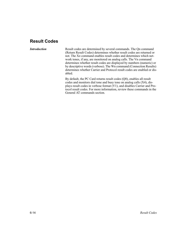### **Result Codes**

#### **Introduction**

Result codes are determined by several commands. The Qn command (Return Result Codes) determines whether result codes are returned or not. The Xn command enables result codes and determines which network tones, if any, are monitored on analog calls. The Vn command determines whether result codes are displayed by numbers (numeric) or by descriptive words (verbose). The Wn command (Connection Results) determines whether Carrier and Protocol result codes are enabled or disabled.

By default, the PC Card returns result codes (Q0), enables all result codes and monitors dial tone and busy tone on analog calls (X4), displays result codes in verbose format (V1), and disables Carrier and Protocol result codes. For more information, review these commands in the General AT commands section.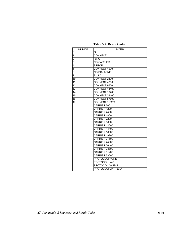**Table 6-5: Result Codes** 

| <b>Numeric</b>  | <b>Verbose</b>            |
|-----------------|---------------------------|
| 0               | OK                        |
| 1               | <b>CONNECT</b>            |
| 2               | <b>RING</b>               |
| $\overline{3}$  | <b>NO CARRIER</b>         |
| 4               | <b>ERROR</b>              |
| 5               | CONNECT 1200              |
| 6               | <b>NO DIALTONE</b>        |
| $\overline{7}$  | <b>BUSY</b>               |
| 10              | CONNECT 2400              |
| 11              | CONNECT 4800              |
| 12              | CONNECT 9600              |
| 13              | CONNECT 14400             |
| $\overline{14}$ | CONNECT 19200             |
| 15              | CONNECT 38400             |
| 16              | CONNECT 57600             |
| 17              | <b>CONNECT 115200</b>     |
|                 | <b>CARRIER 300</b>        |
|                 | <b>CARRIER 1200</b>       |
|                 | CARRIER 2400              |
|                 | CARRIER 4800              |
|                 | CARRIER 7200              |
|                 | CARRIER 9600              |
|                 | CARRIER 12000             |
|                 | CARRIER 14400             |
|                 | CARRIER 16800             |
|                 | CARRIER 19200             |
|                 | CARRIER 21600             |
|                 | CARRIER 24000             |
|                 | CARRIER 26400             |
|                 | CARRIER 28800             |
|                 | CARRIER 31200             |
|                 | CARRIER 33600             |
|                 | <b>PROTOCOL: NONE</b>     |
|                 | PROTOCOL: V42             |
|                 | <b>PROTOCOL: V42BIS</b>   |
|                 | <b>PROTOCOL: MNP REL*</b> |

AT Commands, S Registers, and Result Codes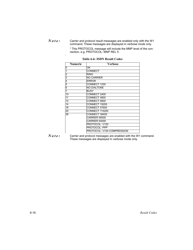$N$   $\theta$   $t$   $e$   $\colon$  Carrier and protocol result messages are enabled only with the W1 command. These messages are displayed in verbose mode only.

> \* This PROTOCOL message will include the MNP level of the connection, e.g. PROTOCOL: MNP REL 5

| <b>Numeric</b>  | Verbose                    |  |  |
|-----------------|----------------------------|--|--|
| ō               | OK                         |  |  |
| 1               | CONNECT                    |  |  |
| $\overline{2}$  | <b>RING</b>                |  |  |
| 3               | <b>NO CARRIER</b>          |  |  |
| 4               | <b>ERROR</b>               |  |  |
| 5               | CONNECT 1200               |  |  |
| 6               | <b>NO DIALTONE</b>         |  |  |
| 7               | <b>BUSY</b>                |  |  |
| 10              | CONNECT 2400               |  |  |
| 11              | CONNECT 4800               |  |  |
| $\overline{12}$ | CONNECT 9600               |  |  |
| 14              | CONNECT 19200              |  |  |
| 18              | CONNECT 57600              |  |  |
| 20              | <b>CONNECT 115200</b>      |  |  |
| 28              | CONNECT 38400              |  |  |
|                 | CARRIER 56000              |  |  |
|                 | CARRIER 64000              |  |  |
|                 | PROTOCOL: V120             |  |  |
|                 | PROTOCOL: PPP              |  |  |
|                 | PROTOCOL: V120 COMPRESSION |  |  |

#### Table 6-6: ISDN Result Codes

 $\overline{1}$ 

 $N$ o t e : Carrier and protocol messages are enabled with the W1 command. These messages are displayed in verbose mode only.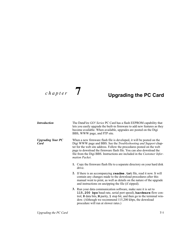## $chapter$  7

## **Upgrading the PC Card**

| Introduction                     | The DataFire GO! Series PC Card has a flash EEPROM capability that<br>lets you easily upgrade the built-in firmware to add new features as they<br>become available. When available, upgrades are posted on the Digi<br>BBS, WWW page, and FTP site.                                                                                                                                           |  |  |  |  |
|----------------------------------|------------------------------------------------------------------------------------------------------------------------------------------------------------------------------------------------------------------------------------------------------------------------------------------------------------------------------------------------------------------------------------------------|--|--|--|--|
| <b>Upgrading Your PC</b><br>Card | When a new firmware flash file is developed, it will be posted on the<br>Digi WWW page and BBS. See the <i>Troubleshooting and Support</i> chap-<br>ter for the web site address. Follow the procedures posted on the web<br>page to download the firmware flash file. You can also download the<br>file from the Digi BBS. Instructions are included in the Customer Infor-<br>mation Packet. |  |  |  |  |
|                                  | 1. Copy the firmware flash file to a separate directory on your hard disk<br>drive.                                                                                                                                                                                                                                                                                                            |  |  |  |  |
|                                  | 2. If there is an accompanying readme. txt file, read it now. It will<br>contain any changes made to the download procedures after this<br>manual went to print, as well as details on the nature of the upgrade<br>and instructions on unzipping the file (if zipped).                                                                                                                        |  |  |  |  |
|                                  | 3. Run your data communication software, make sure it is set to<br>115, 200 bps baud rate, serial port speed), hardware flow con-<br>trol, 8 data bits, N parity, 1 stop bit, and then go to the terminal win-<br>dow. (Although we recommend 115,200 kbps, the download<br>procedure will run at slower rates.)                                                                               |  |  |  |  |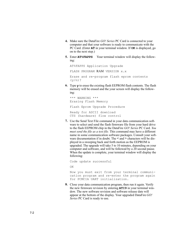- 4. Make sure the DataFire GO! Series PC Card is connected to your computer and that your software is ready to communicate with the PC Card. (Enter AT in your terminal window. If OK is displayed, go on to the next step.)
- 5. Enter AT \*FAPPS Your terminal window will display the following:

AT%FAPPS Application Upgrade

FLASH PROGRAM RAM VERSION x.x

Erase and re-program flash eprom contents  $(y/n)?$ 

6. Type y to erase the existing flash EEPROM flash contents. The flash memory will be erased and the your screen will display the follow $ing:$ 

\*\*\* WARNING \*\*\* Erasing Flash Memory Flash Eprom Upgrade Procedure Ready for ASCII download CTS (hardware) flow control

7. Use the Send Text File command in your data communication software to select and send the flash firmware file from your hard drive to the flash EEPROM chip in the DataFire GO! Series PC Card. You must send the file as a text file. This command may have a different name in some communication software packages. Consult your software documentation if in doubt. The < and > characters will be displayed in a sweeping back and forth motion as the EEPROM is upgraded. The upgrade will take 5 to 10 minutes, depending on your computer and software, and will be followed by a 20 second pause. When the update is complete, your terminal window will display the following:

Code update successful

OK

Now you must exit from your terminal communication program and re-enter the program again for PCMCIA UART initialization.

8. Close your data communication program, then run it again. Verify the new firmware revision by entering **ATI9** in your terminal window. The new software revision and software release date will appear at the bottom of the display. Your upgraded DataFire GO! Series PC Card is ready to use.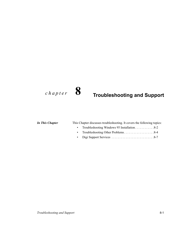## $chapter$  8

## **Troubleshooting and Support**

#### **In This Chapter**

| This Chapter discusses troubleshooting. It covers the following topics: |                                         |  |  |
|-------------------------------------------------------------------------|-----------------------------------------|--|--|
|                                                                         | Troubleshooting Windows 05 Installation |  |  |

| • Iroubleshooting windows 95 Installation $\ldots \ldots \ldots 8-2$ |
|----------------------------------------------------------------------|
| • Troubleshooting Other Problems8-4                                  |
|                                                                      |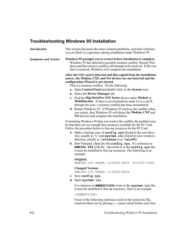## **Troubleshooting Windows 95 Installation**

| <b>Introduction</b>         | This section discusses the most common problems, and their solutions,<br>you are likely to experience during installation under Windows 95.                                                                                                                                                                                                                                                                                                                                                                                                                                                                             |
|-----------------------------|-------------------------------------------------------------------------------------------------------------------------------------------------------------------------------------------------------------------------------------------------------------------------------------------------------------------------------------------------------------------------------------------------------------------------------------------------------------------------------------------------------------------------------------------------------------------------------------------------------------------------|
| <b>Symptoms and Actions</b> | Windows 95 prompts you to restart before installation is complete.<br>Windows 95 has detected a possible resource conflict. Restart Win-<br>dows and the resource conflict will attempt to be resolved. If the con-<br>flict is resolved, Windows will complete the installation.                                                                                                                                                                                                                                                                                                                                       |
|                             | After the GO! card is detected and files copied from the installation<br>source, the Modem, CXP, and Net devices are not detected and the<br>configuration Wizard is not started.<br>This is a resource conflict. Do the following:<br>a. Open Control Panel and double click on the System icon.<br><b>b.</b> Select the Device Manager tab.<br>c. Find the Digi DataFire GO! Series device under Modem or<br><b>Multifunction.</b> If there is an exclamation mark $(!)$ or a red X<br>through the icon, a resource conflict has been encountered.<br>d. Restart Windows 95. If Windows 95 resolves the conflict when |
|                             | you restart, then Windows 95 will detect the Modem, CXP and<br>Net devices and complete the installation.                                                                                                                                                                                                                                                                                                                                                                                                                                                                                                               |
|                             | If restarting Windows 95 does not resolve the conflict, the problem may<br>be that there are not enough free resources available for the PC Card.<br>Follow the procedure below to free-up resources for the PC Card.<br>a. Make a backup copy of config.sys (found in the root direc-<br>tory, usually $c:\)$ and system. ini (found in your windows<br>directory, usually c: \windows or c: \win95).<br>b. Start Notepad. Open the file config.sys. If a reference to<br><b>EMM386. SYS</b> with the $\{x\}$ switch is in the config. sys file,<br>it must be modified to free-up resources. The following is an      |
|                             | example:<br>Original:                                                                                                                                                                                                                                                                                                                                                                                                                                                                                                                                                                                                   |
|                             | EMM386.SYS NOEMS \I=B000-BFFF \X=C000-CFFF<br><b>Changed Version:</b><br>EMM386.SYS NOEMS \I=B000-BFFF<br>c. Save config.sys.<br>d. Open system.ini.                                                                                                                                                                                                                                                                                                                                                                                                                                                                    |
|                             | If a reference to <b>EMMEXCLUDE</b> exists in the system. ini file,<br>it must be modified to free-up resources. Here is an example:                                                                                                                                                                                                                                                                                                                                                                                                                                                                                    |
|                             | ; EMMEXCLUDE=                                                                                                                                                                                                                                                                                                                                                                                                                                                                                                                                                                                                           |
|                             | If any of the following references exist in the system in file,<br>comment them out by placing a ; (semi-colon) before each line:                                                                                                                                                                                                                                                                                                                                                                                                                                                                                       |

Troubleshooting Windows 95 Installation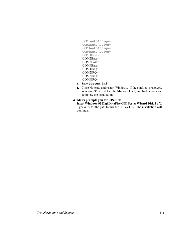- ;COM1AutoAssign= ;COM2AutoAssign= ;COM3AutoAssign= ;COM4AutoAssign= ;COM1Base= ;COM2Base= ;COM3Base= ;COM4Base= ;COM1IRQ= ;COM2IRQ= ;COM3IRQ= ;COM4IRQ=
- e. Save system.ini
- f. Close Notepad and restart Windows. If the conflict is resolved, Windows 95 will detect the Modem, CXP, and Net devices and complete the installation.

#### Windows prompts you for CIS.SCP.

Insert Windows 95 Digi DataFire GO! Series Wizard Disk 2 of 2. Type  $a:\lambda$  for the path to this file. Click OK. The installation will continue.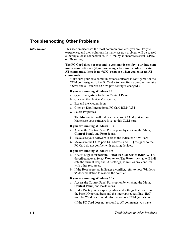#### **Troubleshooting Other Problems**

#### **Introduction**

This section discusses the most common problems you are likely to experience, and their solutions. In many cases, a problem will be caused either by a loose connection or, if ISDN, by an incorrect switch, SPID, or DN setting.

#### The PC Card does not respond to commands sent by your data communication software (if you are using a terminal window to enter AT commands, there is no "OK" response when you enter an AT command).

Make sure your data communications software is configured for the COM port assigned to the PC Card. (Some software programs require a Save and a Restart if a COM port setting is changed.)

#### If you are running Windows 95:

- a. Open the System folder in Control Panel.
- **b.** Click on the Device Manager tab.
- c. Expand the Modem icon.
- d. Click on Digi International PC Card ISDN V.34
- e. Select Properties

The Modem tab will indicate the current COM port setting. Make sure your software is set to this COM port.

#### If you are running Windows 3.1x:

- a. Access the Control Panel Ports option by clicking the Main, Control Panel, and Ports icons.
- **b.** Make sure your software is set to the indicated COM Port.
- c. Make sure the COM port I/O address, and IRQ assigned to the PC Card do not conflict with existing devices.

#### If you are running Windows 95:

- a. Access Digi International DataFire GO! Series ISDN V.34 as described above. Select Properties. The Resources tab will indicate the current IRQ and I/O settings, as well as any conflicts with other resources.
- b. If the Resources tab indicates a conflict, refer to your Windows 95 documentation to resolve the conflict.

#### If you are running Windows 3.1x:

- a. Access the Control Panel Ports option by clicking the Main, **Control Panel, and Ports icons.**
- **b.** Under **Ports** you can specify advanced settings that determine the base I/O port address and the interrupt request line (IRQ) used by Windows to send information to a COM (serial) port.

(If the PC Card does not respond to AT commands you have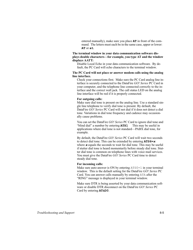entered manually), make sure you place AT in front of the command. The letters must each be in the same case, upper or lower: AT or at.

#### The terminal window in your data communication software displays double characters—for example, you type AT and the window displays AATT:

Disable Local Echo in your data communication software. By default, the PC Card will echo characters to the terminal window.

#### The PC Card will not place or answer modem calls using the analog line interface.

Check your connections first. Make sure the PC Card analog line interface is securely connected to the DataFire GO! Series PC Card in your computer, and the telephone line connected correctly to the interface and the correct wall jack. The call status LED on the analog line interface will be red if it is properly connected.

#### For outgoing calls:

Make sure dial tone is present on the analog line. Use a standard single line telephone to verify dial tone is present. By default, the DataFire GO! Series PC Card will not dial if it does not detect a dial tone. Variations in dial tone frequency and cadence may occasionally cause problems.

You can set the DataFire GO! Series PC Card to ignore dial tone and "blind dial" a number by entering **ATX1** This may be useful in applications where dial tone is not standard—PABX dial tone, for example.

By default, the DataFire GO! Series PC Card will wait two seconds to detect dial tone. This can be extended by entering  $ATS6=x$ where  $x$  equals the seconds to wait for dial tone. This may be useful if stutter dial tone is heard momentarily before steady dial tone. Stutter dial tone is common on telephone lines with voice mail services. You must give the DataFire GO! Series PC Card time to detect steady dial tone.

#### For incoming calls:

Make sure auto-answer is ON by entering  $ATS0=1$  in your terminal window. This is the default setting for the DataFire GO! Series PC Card. You can answer calls manually by entering ATA after the "RING" message is displayed in your terminal window.

Make sure DTR is being asserted by your data communication software or disable DTR disconnect on the DataFire GO! Series PC Card by entering AT&D0.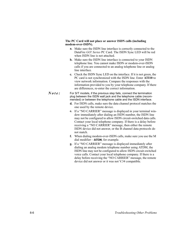#### The PC Card will not place or answer ISDN calls (including modem-over-ISDN).

- a. Make sure the ISDN line interface is correctly connected to the DataFire GO! Series PC Card. The ISDN Sync LED will be red when ISDN line is not attached.
- **b.** Make sure the ISDN line interface is connected to your ISDN telephone line. You cannot make ISDN or modem-over-ISDN calls if you are connected to an analog telephone line or analog line interface.
- c. Check the ISDN Sync LED on the interface. If it is not green, the PC card is not synchronized with the ISDN line. Enter ATI10 to view network information. Compare the responses with the information provided to you by your telephone company. If there are differences, re-enter the correct information.

## $Note:$

For S/T models, if the previous step fails, connect the termination plug between the ISDN wall jack and the telephone cable (recommended) or between the telephone cable and the ISDN interface.

- d. For ISDN calls, make sure the data channel protocol matches the one used by the remote device.
- e. If a "NO CARRIER" message is displayed in your terminal window immediately after dialing an ISDN number, the ISDN line may not be configured to allow ISDN circuit-switched data calls. Contact your local telephone company. If there is a delay before receiving a "NO CARRIER" message, then either the remote ISDN device did not answer, or the B channel data protocols do not match.
- f. When dialing modem-over-ISDN calls, make sure you use the M dial modifier-ATDM, for example.
- g. If a "NO CARRIER" message is displayed immediately after dialing an analog modem telephone number using ATDM, the ISDN line may not be configured to allow ISDN circuit-switched voice calls. Contact your local telephone company. If there is a delay before receiving the "NO CARRIER" message, the remote device did not answer or it was not V.34 compatible.

Troubleshooting Other Problems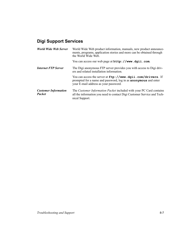# **Digi Support Services**

| World Wide Web Server                        | World Wide Web product information, manuals, new product announce-<br>ments, programs, application stories and more can be obtained through<br>the World Wide Web.             |
|----------------------------------------------|--------------------------------------------------------------------------------------------------------------------------------------------------------------------------------|
|                                              | You can access our web page at <b>http://www.dgii.com</b> .                                                                                                                    |
| <b>Internet FTP Server</b>                   | The Digi anonymous FTP server provides you with access to Digi driv-<br>ers and related installation information.                                                              |
|                                              | You can access the server at ftp://www.dgii.com/drivers. If<br>prompted for a name and password, log in as <b>anonymous</b> and enter<br>your E-mail address as your password. |
| <b>Customer Information</b><br><b>Packet</b> | The <i>Customer Information Packet</i> included with your PC Card contains<br>all the information you need to contact Digi Customer Service and Tech-<br>nical Support.        |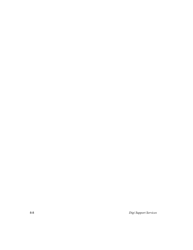Digi Support Services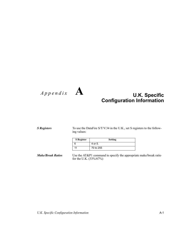# $\sqrt{1 - A}$



# **U.K. Specific Configuration Information**

**S** Registers

To use the DataFire S/T/V.34 in the U.K., set S registers to the following values:

| <b>S</b> Register | <b>Setting</b> |
|-------------------|----------------|
|                   | 4 or 5.        |
| 11                | 70 to 255      |

**Make/Break Ratios** 

Use the AT&P1 command to specify the appropriate make/break ratio for the U.K. (33%/67%)